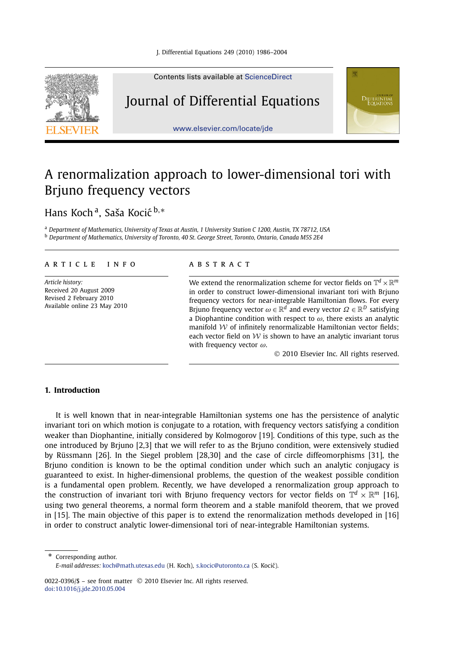

Contents lists available at [ScienceDirect](http://www.ScienceDirect.com/)

## Journal of Differential Equations



[www.elsevier.com/locate/jde](http://www.elsevier.com/locate/jde)

# A renormalization approach to lower-dimensional tori with Brjuno frequency vectors

Hans Koch<sup>a</sup>, Saša Kocić<sup>b,∗</sup>

<sup>a</sup> *Department of Mathematics, University of Texas at Austin, 1 University Station C 1200, Austin, TX 78712, USA* <sup>b</sup> *Department of Mathematics, University of Toronto, 40 St. George Street, Toronto, Ontario, Canada M5S 2E4*

### article info abstract

*Article history:* Received 20 August 2009 Revised 2 February 2010 Available online 23 May 2010

We extend the renormalization scheme for vector fields on  $\mathbb{T}^d \times \mathbb{R}^m$ in order to construct lower-dimensional invariant tori with Brjuno frequency vectors for near-integrable Hamiltonian flows. For every Brjuno frequency vector  $\omega \in \mathbb{R}^d$  and every vector  $\Omega \in \mathbb{R}^D$  satisfying a Diophantine condition with respect to  $\omega$ , there exists an analytic manifold  $W$  of infinitely renormalizable Hamiltonian vector fields: each vector field on  $W$  is shown to have an analytic invariant torus with frequency vector *ω*.

© 2010 Elsevier Inc. All rights reserved.

## **1. Introduction**

It is well known that in near-integrable Hamiltonian systems one has the persistence of analytic invariant tori on which motion is conjugate to a rotation, with frequency vectors satisfying a condition weaker than Diophantine, initially considered by Kolmogorov [19]. Conditions of this type, such as the one introduced by Brjuno [2,3] that we will refer to as the Brjuno condition, were extensively studied by Rüssmann [26]. In the Siegel problem [28,30] and the case of circle diffeomorphisms [31], the Brjuno condition is known to be the optimal condition under which such an analytic conjugacy is guaranteed to exist. In higher-dimensional problems, the question of the weakest possible condition is a fundamental open problem. Recently, we have developed a renormalization group approach to the construction of invariant tori with Brjuno frequency vectors for vector fields on  $\mathbb{T}^d \times \mathbb{R}^m$  [16], using two general theorems, a normal form theorem and a stable manifold theorem, that we proved in [15]. The main objective of this paper is to extend the renormalization methods developed in [16] in order to construct analytic lower-dimensional tori of near-integrable Hamiltonian systems.

Corresponding author. *E-mail addresses:* [koch@math.utexas.edu](mailto:koch@math.utexas.edu) (H. Koch), [s.kocic@utoronto.ca](mailto:s.kocic@utoronto.ca) (S. Kocic). ´

0022-0396/\$ – see front matter © 2010 Elsevier Inc. All rights reserved. [doi:10.1016/j.jde.2010.05.004](http://dx.doi.org/10.1016/j.jde.2010.05.004)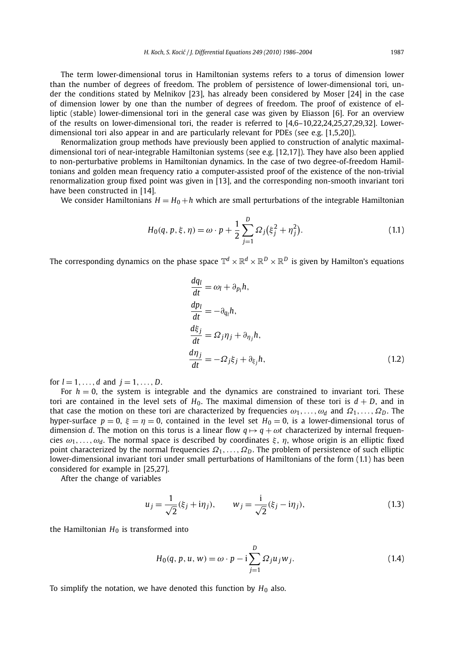The term lower-dimensional torus in Hamiltonian systems refers to a torus of dimension lower than the number of degrees of freedom. The problem of persistence of lower-dimensional tori, under the conditions stated by Melnikov [23], has already been considered by Moser [24] in the case of dimension lower by one than the number of degrees of freedom. The proof of existence of elliptic (stable) lower-dimensional tori in the general case was given by Eliasson [6]. For an overview of the results on lower-dimensional tori, the reader is referred to [4,6–10,22,24,25,27,29,32]. Lowerdimensional tori also appear in and are particularly relevant for PDEs (see e.g. [1,5,20]).

Renormalization group methods have previously been applied to construction of analytic maximaldimensional tori of near-integrable Hamiltonian systems (see e.g. [12,17]). They have also been applied to non-perturbative problems in Hamiltonian dynamics. In the case of two degree-of-freedom Hamiltonians and golden mean frequency ratio a computer-assisted proof of the existence of the non-trivial renormalization group fixed point was given in [13], and the corresponding non-smooth invariant tori have been constructed in [14].

We consider Hamiltonians  $H = H_0 + h$  which are small perturbations of the integrable Hamiltonian

$$
H_0(q, p, \xi, \eta) = \omega \cdot p + \frac{1}{2} \sum_{j=1}^D \Omega_j (\xi_j^2 + \eta_j^2).
$$
 (1.1)

The corresponding dynamics on the phase space  $\mathbb{T}^d \times \mathbb{R}^d \times \mathbb{R}^D \times \mathbb{R}^D$  is given by Hamilton's equations

$$
\frac{dq_l}{dt} = \omega_l + \partial_{p_l} h,
$$
\n
$$
\frac{dp_l}{dt} = -\partial_{q_l} h,
$$
\n
$$
\frac{d\xi_j}{dt} = \Omega_j \eta_j + \partial_{\eta_j} h,
$$
\n
$$
\frac{d\eta_j}{dt} = -\Omega_j \xi_j + \partial_{\xi_j} h,
$$
\n(1.2)

for  $l = 1, ..., d$  and  $j = 1, ..., D$ .

For  $h = 0$ , the system is integrable and the dynamics are constrained to invariant tori. These tori are contained in the level sets of  $H_0$ . The maximal dimension of these tori is  $d + D$ , and in that case the motion on these tori are characterized by frequencies  $\omega_1, \ldots, \omega_d$  and  $\Omega_1, \ldots, \Omega_D$ . The hyper-surface  $p = 0$ ,  $\xi = \eta = 0$ , contained in the level set  $H_0 = 0$ , is a lower-dimensional torus of dimension *d*. The motion on this torus is a linear flow  $q \mapsto q + \omega t$  characterized by internal frequencies  $\omega_1, \ldots, \omega_d$ . The normal space is described by coordinates  $\xi$ ,  $\eta$ , whose origin is an elliptic fixed point characterized by the normal frequencies *Ω*1*,...,Ω<sup>D</sup>* . The problem of persistence of such elliptic lower-dimensional invariant tori under small perturbations of Hamiltonians of the form (1.1) has been considered for example in [25,27].

After the change of variables

$$
u_j = \frac{1}{\sqrt{2}} (\xi_j + i\eta_j), \qquad w_j = \frac{i}{\sqrt{2}} (\xi_j - i\eta_j), \tag{1.3}
$$

the Hamiltonian  $H_0$  is transformed into

$$
H_0(q, p, u, w) = \omega \cdot p - i \sum_{j=1}^{D} \Omega_j u_j w_j.
$$
 (1.4)

To simplify the notation, we have denoted this function by  $H_0$  also.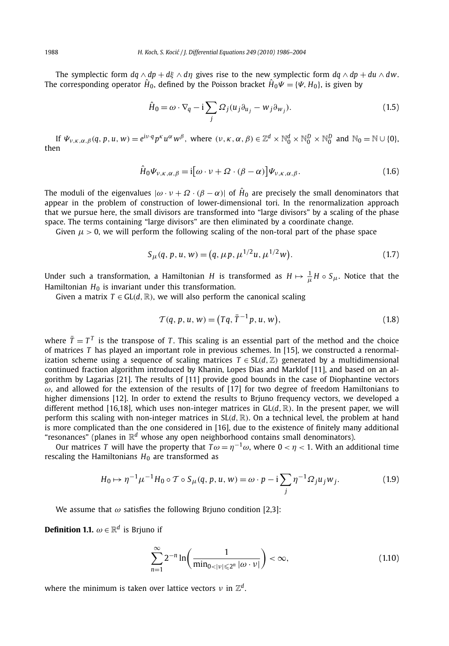The symplectic form  $dq \wedge dp + d\xi \wedge d\eta$  gives rise to the new symplectic form  $dq \wedge dp + du \wedge dw$ . The corresponding operator  $\hat{H}_0$ , defined by the Poisson bracket  $\hat{H}_0\Psi = {\Psi, H_0}$ , is given by

$$
\hat{H}_0 = \omega \cdot \nabla_q - i \sum_j \Omega_j (u_j \partial_{u_j} - w_j \partial_{w_j}).
$$
\n(1.5)

If  $\Psi_{\nu,\kappa,\alpha,\beta}(q, p, u, w) = e^{i\nu \cdot q} p^{\kappa} u^{\alpha} w^{\beta}$ , where  $(\nu,\kappa,\alpha,\beta) \in \mathbb{Z}^d \times \mathbb{N}_0^d \times \mathbb{N}_0^D \times \mathbb{N}_0^D$  and  $\mathbb{N}_0 = \mathbb{N} \cup \{0\}$ , then

$$
\hat{H}_0 \Psi_{\nu,\kappa,\alpha,\beta} = \mathrm{i} \big[ \omega \cdot \nu + \Omega \cdot (\beta - \alpha) \big] \Psi_{\nu,\kappa,\alpha,\beta}.
$$
\n(1.6)

The moduli of the eigenvalues  $|\omega \cdot v + \Omega \cdot (\beta - \alpha)|$  of  $\hat{H}_0$  are precisely the small denominators that appear in the problem of construction of lower-dimensional tori. In the renormalization approach that we pursue here, the small divisors are transformed into "large divisors" by a scaling of the phase space. The terms containing "large divisors" are then eliminated by a coordinate change.

Given  $\mu > 0$ , we will perform the following scaling of the non-toral part of the phase space

$$
S_{\mu}(q, p, u, w) = (q, \mu p, \mu^{1/2}u, \mu^{1/2}w). \tag{1.7}
$$

Under such a transformation, a Hamiltonian  $H$  is transformed as  $H \mapsto \frac{1}{\mu} H \circ S_{\mu}$ . Notice that the Hamiltonian  $H_0$  is invariant under this transformation.

Given a matrix  $T \in GL(d, \mathbb{R})$ , we will also perform the canonical scaling

$$
T(q, p, u, w) = (Tq, \bar{T}^{-1}p, u, w),
$$
\n(1.8)

where  $\bar{T} = T^T$  is the transpose of *T*. This scaling is an essential part of the method and the choice of matrices *T* has played an important role in previous schemes. In [15], we constructed a renormalization scheme using a sequence of scaling matrices  $T \in SL(d, \mathbb{Z})$  generated by a multidimensional continued fraction algorithm introduced by Khanin, Lopes Dias and Marklof [11], and based on an algorithm by Lagarias [21]. The results of [11] provide good bounds in the case of Diophantine vectors  $\omega$ , and allowed for the extension of the results of [17] for two degree of freedom Hamiltonians to higher dimensions [12]. In order to extend the results to Brjuno frequency vectors, we developed a different method [16,18], which uses non-integer matrices in  $GL(d, \mathbb{R})$ . In the present paper, we will perform this scaling with non-integer matrices in SL*(d,*R*)*. On a technical level, the problem at hand is more complicated than the one considered in [16], due to the existence of finitely many additional "resonances" (planes in R*<sup>d</sup>* whose any open neighborhood contains small denominators).

Our matrices *T* will have the property that  $T\omega = \eta^{-1}\omega$ , where  $0 < \eta < 1$ . With an additional time rescaling the Hamiltonians  $H_0$  are transformed as

$$
H_0 \mapsto \eta^{-1} \mu^{-1} H_0 \circ \mathcal{T} \circ S_{\mu}(q, p, u, w) = \omega \cdot p - i \sum_j \eta^{-1} \Omega_j u_j w_j.
$$
 (1.9)

We assume that *ω* satisfies the following Brjuno condition [2,3]:

**Definition 1.1.**  $\omega \in \mathbb{R}^d$  is Brjuno if

$$
\sum_{n=1}^{\infty} 2^{-n} \ln \left( \frac{1}{\min_{0 < |v| \leqslant 2^n} |\omega \cdot v|} \right) < \infty,\tag{1.10}
$$

where the minimum is taken over lattice vectors  $\nu$  in  $\mathbb{Z}^d$ .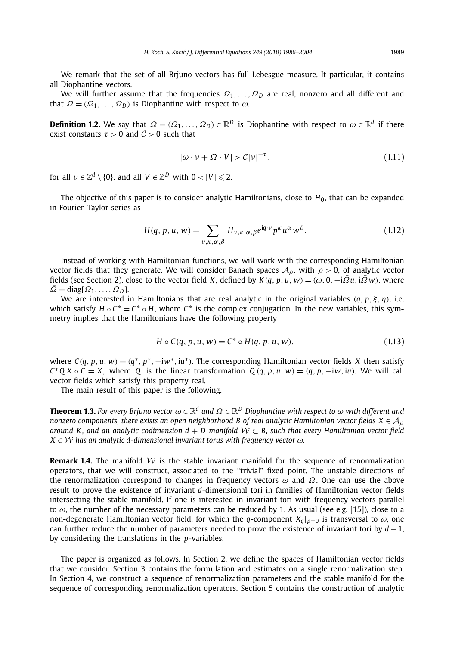We remark that the set of all Brjuno vectors has full Lebesgue measure. It particular, it contains all Diophantine vectors.

We will further assume that the frequencies  $\Omega_1, \ldots, \Omega_p$  are real, nonzero and all different and that  $\Omega = (\Omega_1, \ldots, \Omega_D)$  is Diophantine with respect to  $\omega$ .

**Definition 1.2.** We say that  $\Omega = (\Omega_1, \ldots, \Omega_D) \in \mathbb{R}^D$  is Diophantine with respect to  $\omega \in \mathbb{R}^d$  if there exist constants  $\tau > 0$  and  $\mathcal{C} > 0$  such that

$$
|\omega \cdot \nu + \Omega \cdot V| > C|\nu|^{-\tau},\tag{1.11}
$$

for all  $v \in \mathbb{Z}^d \setminus \{0\}$ , and all  $V \in \mathbb{Z}^D$  with  $0 < |V| \leqslant 2$ .

The objective of this paper is to consider analytic Hamiltonians, close to *H*0, that can be expanded in Fourier–Taylor series as

$$
H(q, p, u, w) = \sum_{\nu, \kappa, \alpha, \beta} H_{\nu, \kappa, \alpha, \beta} e^{iq \cdot \nu} p^{\kappa} u^{\alpha} w^{\beta}.
$$
 (1.12)

Instead of working with Hamiltonian functions, we will work with the corresponding Hamiltonian vector fields that they generate. We will consider Banach spaces  $A_{\rho}$ , with  $\rho > 0$ , of analytic vector fields (see Section 2), close to the vector field K, defined by  $K(q, p, u, w) = (\omega, 0, -i\overline{\Omega}u, i\overline{\Omega}w)$ , where  $\overline{\Omega} = \text{diag}[\Omega_1, \ldots, \Omega_D].$ 

We are interested in Hamiltonians that are real analytic in the original variables *(q, p,ξ,η)*, i.e. which satisfy  $H \circ C^* = C^* \circ H$ , where  $C^*$  is the complex conjugation. In the new variables, this symmetry implies that the Hamiltonians have the following property

$$
H \circ C(q, p, u, w) = C^* \circ H(q, p, u, w),
$$
\n(1.13)

where  $C(q, p, u, w) = (q^*, p^*, -i w^*, i u^*)$ . The corresponding Hamiltonian vector fields X then satisfy  $C^*Q X \circ C = X$ , where Q is the linear transformation  $Q(q, p, u, w) = (q, p, -iw, iu)$ . We will call vector fields which satisfy this property real.

The main result of this paper is the following.

**Theorem 1.3.** *For every Brjuno vector ω* ∈ R*<sup>d</sup> and Ω* ∈ R*<sup>D</sup> Diophantine with respect to ω with different and nonzero components, there exists an open neighborhood B of real analytic Hamiltonian vector fields*  $X \in \mathcal{A}_o$ *around K, and an analytic codimension*  $d + D$  *manifold*  $W \subset B$ , such that every Hamiltonian vector field  $X \in \mathcal{W}$  has an analytic d-dimensional invariant torus with frequency vector  $\omega$ .

**Remark 1.4.** The manifold W is the stable invariant manifold for the sequence of renormalization operators, that we will construct, associated to the "trivial" fixed point. The unstable directions of the renormalization correspond to changes in frequency vectors *ω* and *Ω*. One can use the above result to prove the existence of invariant *d*-dimensional tori in families of Hamiltonian vector fields intersecting the stable manifold. If one is interested in invariant tori with frequency vectors parallel to  $\omega$ , the number of the necessary parameters can be reduced by 1. As usual (see e.g. [15]), close to a non-degenerate Hamiltonian vector field, for which the *q*-component  $X_q|_{p=0}$  is transversal to  $\omega$ , one can further reduce the number of parameters needed to prove the existence of invariant tori by  $d-1$ , by considering the translations in the *p*-variables.

The paper is organized as follows. In Section 2, we define the spaces of Hamiltonian vector fields that we consider. Section 3 contains the formulation and estimates on a single renormalization step. In Section 4, we construct a sequence of renormalization parameters and the stable manifold for the sequence of corresponding renormalization operators. Section 5 contains the construction of analytic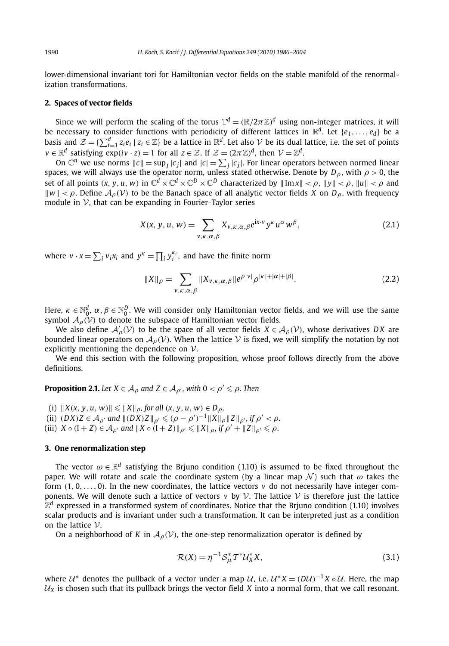lower-dimensional invariant tori for Hamiltonian vector fields on the stable manifold of the renormalization transformations.

#### **2. Spaces of vector fields**

Since we will perform the scaling of the torus  $\mathbb{T}^d=(\mathbb{R}/2\pi\mathbb{Z})^d$  using non-integer matrices, it will be necessary to consider functions with periodicity of different lattices in  $\mathbb{R}^d$ . Let  $\{e_1, \ldots, e_d\}$  be a basis and  $\mathcal{Z} = \{\sum_{i=1}^d z_i e_i \mid z_i \in \mathbb{Z}\}\)$  be a lattice in  $\mathbb{R}^d$ . Let also  $\mathcal V$  be its dual lattice, i.e. the set of points  $v \in \mathbb{R}^d$  satisfying  $exp(i v \cdot z) = 1$  for all  $z \in \mathcal{Z}$ . If  $\mathcal{Z} = (2\pi \mathbb{Z})^d$ , then  $\mathcal{V} = \mathbb{Z}^d$ .

On  $\mathbb{C}^n$  we use norms  $||c|| = \sup_j |c_j|$  and  $|c| = \sum_j |c_j|$ . For linear operators between normed linear spaces, we will always use the operator norm, unless stated otherwise. Denote by  $D_\rho$ , with  $\rho > 0$ , the set of all points  $(x, y, u, w)$  in  $\mathbb{C}^d \times \mathbb{C}^d \times \mathbb{C}^D \times \mathbb{C}^D$  characterized by  $\|\text{Im } x\| < \rho$ ,  $\|y\| < \rho$ ,  $\|u\| < \rho$  and  $\|w\| < \rho$ . Define  $\mathcal{A}_{\rho}(\mathcal{V})$  to be the Banach space of all analytic vector fields *X* on *D<sub><i>p*</sub></sub>, with frequency module in  $V$ , that can be expanding in Fourier–Taylor series

$$
X(x, y, u, w) = \sum_{v, \kappa, \alpha, \beta} X_{v, \kappa, \alpha, \beta} e^{ix \cdot v} y^{\kappa} u^{\alpha} w^{\beta},
$$
\n(2.1)

where  $v \cdot x = \sum_i v_i x_i$  and  $y^k = \prod_i y_i^{k_i}$ , and have the finite norm

$$
||X||_{\rho} = \sum_{v,\kappa,\alpha,\beta} ||X_{v,\kappa,\alpha,\beta}||e^{\rho|v|} \rho^{|k|+|\alpha|+|\beta|}.
$$
 (2.2)

Here,  $\kappa\in\mathbb{N}_0^d$ ,  $\alpha,\beta\in\mathbb{N}_0^D.$  We will consider only Hamiltonian vector fields, and we will use the same symbol  $A_{\rho}(\mathcal{V})$  to denote the subspace of Hamiltonian vector fields.

We also define  $\mathcal{A}'_{\rho}(\mathcal{V})$  to be the space of all vector fields  $X \in \mathcal{A}_{\rho}(\mathcal{V})$ , whose derivatives *DX* are bounded linear operators on  $A_{\rho}(\mathcal{V})$ . When the lattice  $\mathcal V$  is fixed, we will simplify the notation by not explicitly mentioning the dependence on V.

We end this section with the following proposition, whose proof follows directly from the above definitions.

**Proposition 2.1.** Let  $X \in A_\rho$  and  $Z \in A_{\rho'}$ , with  $0 < \rho' \leqslant \rho$ . Then

(i)  $||X(x, y, u, w)|| \le ||X||_{\rho}$ , for all  $(x, y, u, w) \in D_{\rho}$ . (ii)  $(DX)Z \in A_{\rho'}$  and  $||(DX)Z||_{\rho'} \leq (\rho - \rho')^{-1}||X||_{\rho}||Z||_{\rho'},$  if  $\rho' < \rho$ .  $(iii)$   $X \circ (I + Z) \in \mathcal{A}_{\rho'}$  and  $||X \circ (I + Z)||_{\rho'} \le ||X||_{\rho}, \text{ if } \rho' + ||Z||_{\rho'} \le \rho.$ 

#### **3. One renormalization step**

The vector  $\omega \in \mathbb{R}^d$  satisfying the Brjuno condition (1.10) is assumed to be fixed throughout the paper. We will rotate and scale the coordinate system (by a linear map  $\mathcal{N}$ ) such that  $\omega$  takes the form  $(1, 0, \ldots, 0)$ . In the new coordinates, the lattice vectors  $\nu$  do not necessarily have integer components. We will denote such a lattice of vectors  $v$  by  $\mathcal V$ . The lattice  $\mathcal V$  is therefore just the lattice  $\mathbb{Z}^d$  expressed in a transformed system of coordinates. Notice that the Brjuno condition (1.10) involves scalar products and is invariant under such a transformation. It can be interpreted just as a condition on the lattice  $V$ .

On a neighborhood of *K* in  $\mathcal{A}_{\rho}(\mathcal{V})$ , the one-step renormalization operator is defined by

$$
\mathcal{R}(X) = \eta^{-1} \mathcal{S}_{\mu}^* T^* \mathcal{U}_X^* X,\tag{3.1}
$$

where  $U^*$  denotes the pullback of a vector under a map  $U$ , i.e.  $U^*X = (DU)^{-1}X \circ U$ . Here, the map  $U_X$  is chosen such that its pullback brings the vector field *X* into a normal form, that we call resonant.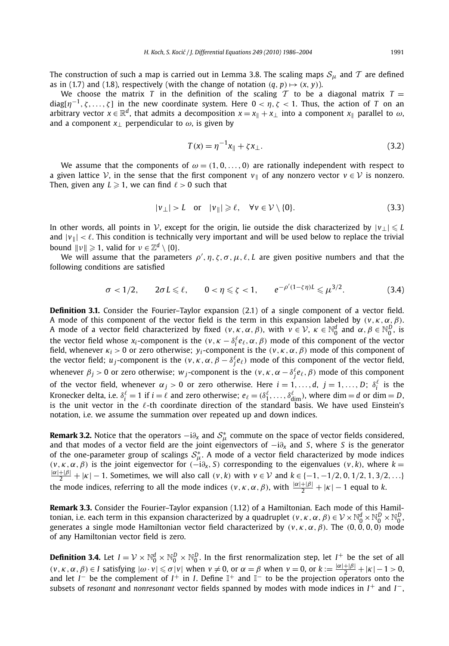The construction of such a map is carried out in Lemma 3.8. The scaling maps  $S_{\mu}$  and T are defined as in (1.7) and (1.8), respectively (with the change of notation  $(q, p) \mapsto (x, y)$ ).

We choose the matrix *T* in the definition of the scaling *T* to be a diagonal matrix  $T =$  $diag[\eta^{-1}, \zeta, \ldots, \zeta]$  in the new coordinate system. Here  $0 < \eta, \zeta < 1$ . Thus, the action of *T* on an arbitrary vector  $x \in \mathbb{R}^d$ , that admits a decomposition  $x = x_{\parallel} + x_{\perp}$  into a component  $x_{\parallel}$  parallel to  $\omega$ , and a component  $x_1$  perpendicular to  $\omega$ , is given by

$$
T(x) = \eta^{-1}x_{\parallel} + \zeta x_{\perp}.
$$
 (3.2)

We assume that the components of  $\omega = (1, 0, \ldots, 0)$  are rationally independent with respect to a given lattice  $V$ , in the sense that the first component  $v_{\parallel}$  of any nonzero vector  $v \in V$  is nonzero. Then, given any  $L \geq 1$ , we can find  $\ell > 0$  such that

$$
|v_{\perp}| > L \quad \text{or} \quad |v_{\parallel}| \ge \ell, \quad \forall v \in \mathcal{V} \setminus \{0\}. \tag{3.3}
$$

In other words, all points in  $\mathcal V$ , except for the origin, lie outside the disk characterized by  $|v_\perp| \leq L$ and  $|v_{\parallel}| < \ell$ . This condition is technically very important and will be used below to replace the trivial bound  $||v|| \ge 1$ , valid for  $v \in \mathbb{Z}^d \setminus \{0\}$ .

We will assume that the parameters  $\rho', \eta, \zeta, \sigma, \mu, \ell, L$  are given positive numbers and that the following conditions are satisfied

$$
\sigma < 1/2, \qquad 2\sigma L \leq \ell, \qquad 0 < \eta \leq \zeta < 1, \qquad e^{-\rho'(1-\zeta\eta)L} \leq \mu^{3/2}.
$$
 (3.4)

**Definition 3.1.** Consider the Fourier–Taylor expansion (2.1) of a single component of a vector field. A mode of this component of the vector field is the term in this expansion labeled by  $(v, \kappa, \alpha, \beta)$ . A mode of a vector field characterized by fixed  $(v, \kappa, \alpha, \beta)$ , with  $v \in \mathcal{V}$ ,  $\kappa \in \mathbb{N}_0^d$  and  $\alpha, \beta \in \mathbb{N}_0^D$ , is the vector field whose  $x_i$ -component is the  $(v, \kappa - \delta_i^{\ell} e_{\ell}, \alpha, \beta)$  mode of this component of the vector field, whenever  $\kappa_i > 0$  or zero otherwise;  $y_i$ -component is the  $(v, \kappa, \alpha, \beta)$  mode of this component of the vector field;  $u_j$ -component is the  $(v, \kappa, \alpha, \beta - \delta_j^\ell e_\ell)$  mode of this component of the vector field, whenever  $\beta_j > 0$  or zero otherwise;  $w_j$ -component is the  $(v, \kappa, \alpha - \delta_j^{\ell} e_{\ell}, \beta)$  mode of this component of the vector field, whenever  $\alpha_j > 0$  or zero otherwise. Here  $i = 1, \ldots, d$ ,  $j = 1, \ldots, D$ ;  $\delta_i^{\ell}$  is the Kronecker delta, i.e.  $\delta_i^{\ell} = 1$  if  $i = \ell$  and zero otherwise;  $e_{\ell} = (\delta_1^{\ell}, \ldots, \delta_{\text{dim}}^{\ell})$ , where  $\dim = d$  or  $\dim = D$ , is the unit vector in the  $\ell$ -th coordinate direction of the standard basis. We have used Einstein's notation, i.e. we assume the summation over repeated up and down indices.

**Remark 3.2.** Notice that the operators  $-i\partial_x$  and  $S^*_{\mu}$  commute on the space of vector fields considered, and that modes of a vector field are the joint eigenvectors of −i*∂<sup>x</sup>* and *S*, where *S* is the generator of the one-parameter group of scalings  $S^*_{\mu}$ . A mode of a vector field characterized by mode indices  $(v, \kappa, \alpha, \beta)$  is the joint eigenvector for  $(-i\partial_x, S)$  corresponding to the eigenvalues  $(v, k)$ , where  $k =$  $\frac{|\alpha|+|\beta|}{2} + |\kappa| - 1$ . Sometimes, we will also call  $(v, k)$  with  $v \in V$  and  $k \in \{-1, -1/2, 0, 1/2, 1, 3/2, ...\}$ the mode indices, referring to all the mode indices  $(v, \kappa, \alpha, \beta)$ , with  $\frac{|\alpha|+|\beta|}{2} + |\kappa| - 1$  equal to *k*.

**Remark 3.3.** Consider the Fourier–Taylor expansion (1.12) of a Hamiltonian. Each mode of this Hamiltonian, i.e. each term in this expansion characterized by a quadruplet  $(v, \kappa, \alpha, \beta) \in V \times \mathbb{N}_0^d \times \mathbb{N}_0^D \times \mathbb{N}_0^D$ , generates a single mode Hamiltonian vector field characterized by *(v, κ,α,β)*. The *(*0*,* 0*,* 0*,* 0*)* mode of any Hamiltonian vector field is zero.

**Definition 3.4.** Let  $I = \mathcal{V} \times \mathbb{N}_0^d \times \mathbb{N}_0^D \times \mathbb{N}_0^D$ . In the first renormalization step, let  $I^+$  be the set of all  $(v, \kappa, \alpha, \beta) \in I$  satisfying  $|\omega \cdot v| \le \sigma |v|$  when  $v \ne 0$ , or  $\alpha = \beta$  when  $v = 0$ , or  $k := \frac{|\alpha| + |\beta|}{2} + |\kappa| - 1 > 0$ , and let  $I^-$  be the complement of  $I^+$  in *I*. Define  $\mathbb{I}^+$  and  $\mathbb{I}^-$  to be the projection operators onto the subsets of *resonant* and *nonresonant* vector fields spanned by modes with mode indices in  $I^+$  and  $I^-$ ,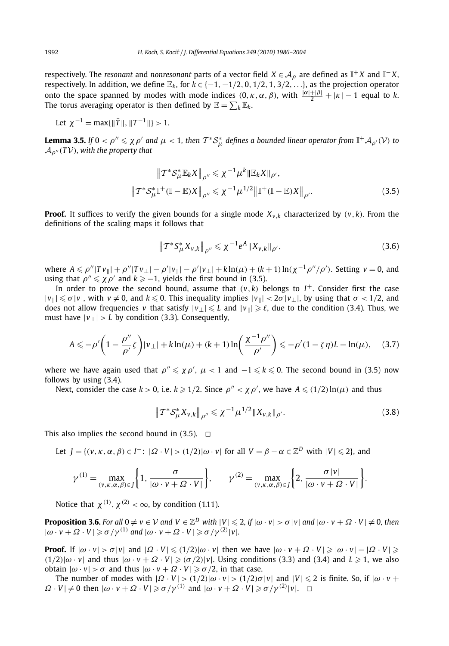respectively. The *resonant* and *nonresonant* parts of a vector field  $X \in A$ <sub>*ρ*</sub> are defined as  $\mathbb{I}^+X$  and  $\mathbb{I}^-X$ , respectively. In addition, we define  $\mathbb{E}_k$ , for  $k \in \{-1, -1/2, 0, 1/2, 1, 3/2, \ldots\}$ , as the projection operator onto the space spanned by modes with mode indices  $(0, \kappa, \alpha, \beta)$ , with  $\frac{|\alpha|+|\beta|}{2} + |\kappa| - 1$  equal to *k*. The torus averaging operator is then defined by  $\mathbb{E} = \sum_{k} \mathbb{E}_{k}$ .

Let 
$$
\chi^{-1} = \max{\{\|\bar{T}\|, \|T^{-1}\|\}} > 1
$$
.

**Lemma 3.5.** If  $0 < \rho'' \le \chi \rho'$  and  $\mu < 1$ , then  $T^* S^*_{\mu}$  defines a bounded linear operator from  $\mathbb{I}^+ \mathcal{A}_{\rho'}(\mathcal{V})$  to  $A_{\rho''}(T\mathcal{V})$ *, with the property that* 

$$
\|T^* \mathcal{S}_{\mu}^* \mathbb{E}_k X \|_{\rho''} \leq \chi^{-1} \mu^k \|\mathbb{E}_k X \|_{\rho'},
$$
  

$$
\|T^* \mathcal{S}_{\mu}^* \mathbb{I}^+(\mathbb{I} - \mathbb{E}) X \|_{\rho''} \leq \chi^{-1} \mu^{1/2} \|\mathbb{I}^+(\mathbb{I} - \mathbb{E}) X \|_{\rho'}.
$$
 (3.5)

**Proof.** It suffices to verify the given bounds for a single mode  $X_{v,k}$  characterized by  $(v, k)$ . From the definitions of the scaling maps it follows that

$$
\|T^*S^*_{\mu}X_{\nu,k}\|_{\rho''}\leq \chi^{-1}e^A\|X_{\nu,k}\|_{\rho'},\tag{3.6}
$$

where  $A \leqslant \rho''|Tv_{\parallel}| + \rho''|Tv_{\perp}| - \rho'|v_{\parallel}| - \rho'|v_{\perp}| + k\ln(\mu) + (k+1)\ln(\chi^{-1}\rho''/\rho')$ . Setting  $v = 0$ , and using that  $\rho'' \leq \chi \rho'$  and  $k \geqslant -1$ , yields the first bound in (3.5).

In order to prove the second bound, assume that  $(v, k)$  belongs to  $I^+$ . Consider first the case  $|v_{\parallel}| \leq \sigma |v|$ , with  $v \neq 0$ , and  $k \leq 0$ . This inequality implies  $|v_{\parallel}| < 2\sigma |v_{\perp}|$ , by using that  $\sigma < 1/2$ , and does not allow frequencies *v* that satisfy  $|v_\perp| \leq L$  and  $|v_\parallel| \geq \ell$ , due to the condition (3.4). Thus, we must have  $|v_\perp| > L$  by condition (3.3). Consequently,

$$
A \leqslant -\rho' \bigg(1 - \frac{\rho''}{\rho'} \zeta\bigg) |\nu_\perp| + k \ln(\mu) + (k+1) \ln\bigg(\frac{\chi^{-1} \rho''}{\rho'}\bigg) \leqslant -\rho' (1 - \zeta \eta) L - \ln(\mu), \quad (3.7)
$$

where we have again used that  $\rho'' \leqslant \chi \rho'$ ,  $\mu < 1$  and  $-1 \leqslant k \leqslant 0$ . The second bound in (3.5) now follows by using (3.4).

Next, consider the case  $k > 0$ , i.e.  $k \geq 1/2$ . Since  $\rho'' < \chi \rho'$ , we have  $A \leq (1/2) \ln(\mu)$  and thus

$$
\|T^* \mathcal{S}_{\mu}^* X_{\nu,k}\|_{\rho''} \leq \chi^{-1} \mu^{1/2} \|X_{\nu,k}\|_{\rho'}.
$$
 (3.8)

This also implies the second bound in  $(3.5)$ .  $\Box$ 

Let 
$$
J = \{(v, \kappa, \alpha, \beta) \in I^- : |\Omega \cdot V| > (1/2)|\omega \cdot v| \text{ for all } V = \beta - \alpha \in \mathbb{Z}^D \text{ with } |V| \leq 2\}
$$
, and

$$
\gamma^{(1)} = \max_{(\nu,\kappa,\alpha,\beta)\in J} \left\{ 1, \frac{\sigma}{|\omega \cdot v + \Omega \cdot V|} \right\}, \qquad \gamma^{(2)} = \max_{(\nu,\kappa,\alpha,\beta)\in J} \left\{ 2, \frac{\sigma |\nu|}{|\omega \cdot v + \Omega \cdot V|} \right\}.
$$

Notice that  $\chi^{(1)}, \chi^{(2)} < \infty$ , by condition (1.11).

**Proposition 3.6.** For all  $0 \neq v \in V$  and  $V \in \mathbb{Z}^D$  with  $|V| \leq 2$ , if  $|\omega \cdot v| > \sigma |v|$  and  $|\omega \cdot v + \Omega \cdot V| \neq 0$ , then  $|\omega \cdot v + \Omega \cdot V| \geqslant \sigma/\gamma^{(1)}$  and  $|\omega \cdot v + \Omega \cdot V| \geqslant \sigma/\gamma^{(2)}|v|.$ 

**Proof.** If  $|\omega \cdot v| > \sigma |v|$  and  $|\Omega \cdot V| \leq (1/2)|\omega \cdot v|$  then we have  $|\omega \cdot v + \Omega \cdot V| \geq |\omega \cdot v| - |\Omega \cdot V| \geq$  $(1/2)|\omega \cdot v|$  and thus  $|\omega \cdot v + \Omega \cdot V| \geq (\sigma/2)|v|$ . Using conditions (3.3) and (3.4) and  $L \geq 1$ , we also *obtain*  $|ω ⋅ v| > σ$  and thus  $|ω ⋅ v + Ω ⋅ V| ≥ σ/2$ , in that case.

The number of modes with  $|\Omega \cdot V|$  >  $(1/2)|\omega \cdot v|$  >  $(1/2)\sigma |v|$  and  $|V| \leq 2$  is finite. So, if  $|\omega \cdot v +$  $\Omega \cdot V \neq 0$  then  $|\omega \cdot v + \Omega \cdot V| \geq \sigma/\gamma^{(1)}$  and  $|\omega \cdot v + \Omega \cdot V| \geq \sigma/\gamma^{(2)}|v|$ .  $\Box$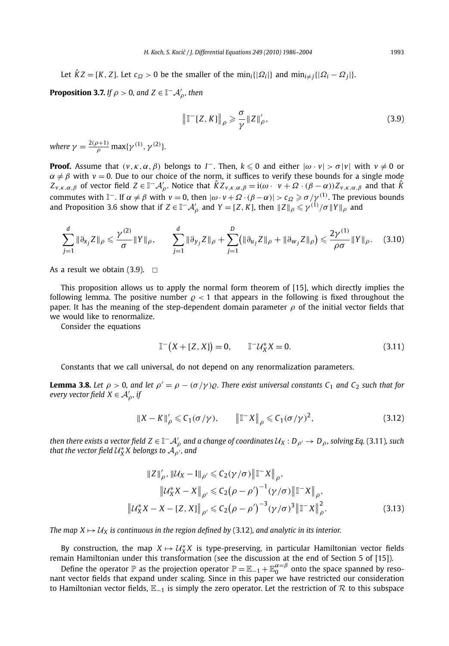Let  $\hat{K}Z = [K, Z]$ . Let  $c_{\Omega} > 0$  be the smaller of the min<sub>*i*</sub>{| $\Omega_i$ |} and min<sub>*i*≠*j*{| $\Omega_i - \Omega_j$ |}.</sub>

**Proposition 3.7.** *If*  $\rho > 0$ *, and Z*  $\in$   $\mathbb{I}^- \mathcal{A}'_{\rho}$ *, then* 

$$
\left\| \mathbb{T}^{-}[Z, K] \right\|_{\rho} \geqslant \frac{\sigma}{\gamma} \| Z \|_{\rho}', \tag{3.9}
$$

*where*  $\gamma = \frac{2(\rho+1)}{\rho} \max{\{\gamma^{(1)}, \gamma^{(2)}\}}$ .

**Proof.** Assume that  $(v, \kappa, \alpha, \beta)$  belongs to *I*<sup>-</sup>. Then,  $k \leq 0$  and either  $|\omega \cdot v| > \sigma |v|$  with  $v \neq 0$  or  $\alpha \neq \beta$  with  $v = 0$ . Due to our choice of the norm, it suffices to verify these bounds for a single mode  $Z_{\nu,\kappa,\alpha,\beta}$  of vector field  $Z \in \mathbb{I}^- \mathcal{A}'_\rho$ . Notice that  $\hat{K} Z_{\nu,\kappa,\alpha,\beta} = \mathrm{i}(\omega \cdot \nu + \Omega \cdot (\beta - \alpha)) Z_{\nu,\kappa,\alpha,\beta}$  and that  $\hat{K}$  ${\rm commutes}$  with  ${\mathbb I}^-$ . If  $\alpha \neq \beta$  with  $\nu = 0$ , then  $|ω \cdot ν + Ω \cdot (β − α)| > c_Ω \geqslant σ/γ^{(1)}$ . The previous bounds and Proposition 3.6 show that if  $Z \in \mathbb{I}^- \mathcal{A}'_\rho$  and  $Y = [Z, K]$ , then  $\|Z\|_\rho \leqslant \gamma^{(1)}/\sigma \|Y\|_\rho$  and

$$
\sum_{j=1}^{d} \|\partial_{x_j} Z\|_{\rho} \leq \frac{\gamma^{(2)}}{\sigma} \|Y\|_{\rho}, \qquad \sum_{j=1}^{d} \|\partial_{y_j} Z\|_{\rho} + \sum_{j=1}^{D} (\|\partial_{u_j} Z\|_{\rho} + \|\partial_{w_j} Z\|_{\rho}) \leq \frac{2\gamma^{(1)}}{\rho\sigma} \|Y\|_{\rho}.
$$
 (3.10)

As a result we obtain  $(3.9)$ .  $\Box$ 

This proposition allows us to apply the normal form theorem of [15], which directly implies the following lemma. The positive number  $\rho < 1$  that appears in the following is fixed throughout the paper. It has the meaning of the step-dependent domain parameter *ρ* of the initial vector fields that we would like to renormalize.

Consider the equations

$$
\mathbb{I}^{-}(X + [Z, X]) = 0, \qquad \mathbb{I}^{-} \mathcal{U}_{X}^{*} X = 0.
$$
 (3.11)

Constants that we call universal, do not depend on any renormalization parameters.

**Lemma 3.8.** Let  $\rho > 0$ , and let  $\rho' = \rho - (\sigma/\gamma) \rho$ . There exist universal constants C<sub>1</sub> and C<sub>2</sub> such that for *every vector field*  $X \in A'_\rho$ *, if* 

$$
||X - K||'_{\rho} \leq C_1(\sigma/\gamma), \qquad ||\mathbb{T}^X||_{\rho} \leq C_1(\sigma/\gamma)^2,
$$
 (3.12)

*then there exists a vector field*  $Z \in \mathbb{I}^- \mathcal{A}'_\rho$  and a change of coordinates  $\mathcal{U}_X : D_{\rho'} \to D_\rho$ , solving Eq. (3.11), such *that the vector field*  $\mathcal{U}_X^* X$  *belongs to*  $\mathcal{A}_{\rho'}^{\phantom{\rho'}},$  *and* 

$$
||Z||'_{\rho}, ||U_X - I||_{\rho'} \le C_2(\gamma/\sigma) ||\mathbb{T}^{-} X||_{\rho},
$$
  
\n
$$
||U_X^* X - X||_{\rho'} \le C_2(\rho - \rho')^{-1}(\gamma/\sigma) ||\mathbb{T}^{-} X||_{\rho},
$$
  
\n
$$
||U_X^* X - X - [Z, X]||_{\rho'} \le C_2(\rho - \rho')^{-3}(\gamma/\sigma)^3 ||\mathbb{T}^{-} X||_{\rho}^2.
$$
\n(3.13)

*The map*  $X \mapsto \mathcal{U}_X$  *is continuous in the region defined by (3.12), and analytic in its interior.* 

By construction, the map  $X \mapsto U_X^* X$  is type-preserving, in particular Hamiltonian vector fields

remain Hamiltonian under this transformation (see the discussion at the end of Section 5 of [15]).<br>Define the operator  $\mathbb P$  as the projection operator  $\mathbb P = \mathbb E_{-1} + \mathbb E_0^{\alpha = \beta}$  onto the space spanned by resonant vector fields that expand under scaling. Since in this paper we have restricted our consideration to Hamiltonian vector fields,  $\mathbb{E}_{-1}$  is simply the zero operator. Let the restriction of  $\mathcal R$  to this subspace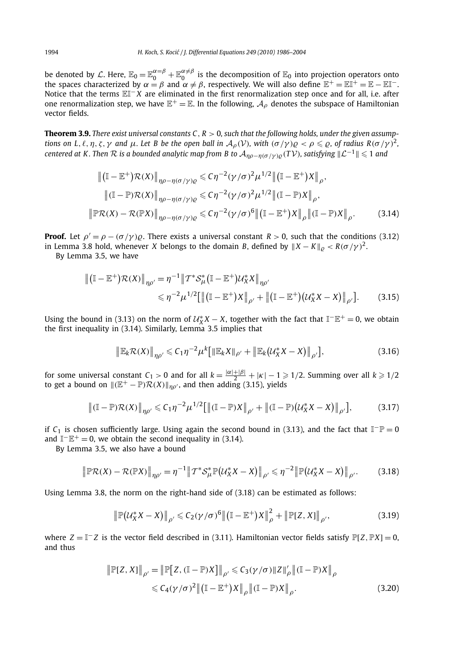be denoted by L. Here,  $\mathbb{E}_0 = \mathbb{E}_0^{\alpha=\beta} + \mathbb{E}_0^{\alpha \neq \beta}$  is the decomposition of  $\mathbb{E}_0$  into projection operators onto the spaces characterized by  $\alpha = \beta$  and  $\alpha \neq \beta$ , respectively. We will also define  $\mathbb{E}^+ = \mathbb{E} \mathbb{I}^+ = \mathbb{E} - \mathbb{E} \mathbb{I}^-$ . Notice that the terms EI<sup>−</sup> *X* are eliminated in the first renormalization step once and for all, i.e. after one renormalization step, we have  $\mathbb{E}^+=\mathbb{E}$ . In the following,  $\mathcal{A}_{\rho}$  denotes the subspace of Hamiltonian vector fields.

**Theorem 3.9.** *There exist universal constants C, R >* 0*, such that the following holds, under the given assumptions on L, l, η, ζ, γ and*  $\mu$ *. Let B be the open ball in*  $\mathcal{A}_{\rho}(\mathcal{V})$ *, with*  $(\sigma/\gamma)\rho < \rho \leq \rho$ *, of radius*  $R(\sigma/\gamma)^2$ *,*  $c$ entered at K . Then  $R$  is a bounded analytic map from B to  $\mathcal{A}_{\eta\rho-\eta(\sigma/\gamma)\varrho}(T\mathcal{V})$ , satisfying  $\|\mathcal{L}^{-1}\|\leqslant 1$  and

$$
\|(\mathbb{I} - \mathbb{E}^{+})\mathcal{R}(X)\|_{\eta\rho-\eta(\sigma/\gamma)\varrho} \leq C\eta^{-2}(\gamma/\sigma)^{2}\mu^{1/2} \|( \mathbb{I} - \mathbb{E}^{+})X\|_{\rho},
$$
  

$$
\|(\mathbb{I} - \mathbb{P})\mathcal{R}(X)\|_{\eta\rho-\eta(\sigma/\gamma)\varrho} \leq C\eta^{-2}(\gamma/\sigma)^{2}\mu^{1/2} \|( \mathbb{I} - \mathbb{P})X\|_{\rho},
$$
  

$$
\| \mathbb{P}\mathcal{R}(X) - \mathcal{R}(\mathbb{P}X)\|_{\eta\rho-\eta(\sigma/\gamma)\varrho} \leq C\eta^{-2}(\gamma/\sigma)^{6} \|( \mathbb{I} - \mathbb{E}^{+})X\|_{\rho} \|( \mathbb{I} - \mathbb{P})X\|_{\rho}.
$$
 (3.14)

**Proof.** Let  $\rho' = \rho - (\sigma/\gamma)\rho$ . There exists a universal constant  $R > 0$ , such that the conditions (3.12) in Lemma 3.8 hold, whenever *X* belongs to the domain *B*, defined by  $||X - K||_{0} < R(\sigma/\gamma)^{2}$ .

By Lemma 3.5, we have

$$
\| (\mathbb{I} - \mathbb{E}^+) \mathcal{R}(X) \|_{\eta \rho'} = \eta^{-1} \| T^* \mathcal{S}_{\mu}^* (\mathbb{I} - \mathbb{E}^+) \mathcal{U}_X^* X \|_{\eta \rho'}
$$
  
\$\leq \eta^{-2} \mu^{1/2} [\| (\mathbb{I} - \mathbb{E}^+) X \|\_{\rho'} + \| (\mathbb{I} - \mathbb{E}^+) (\mathcal{U}\_X^\* X - X) \|\_{\rho'}]. \qquad (3.15)\$

Using the bound in (3.13) on the norm of  $U_X^*X - X$ , together with the fact that  $\mathbb{I}^-\mathbb{E}^+ = 0$ , we obtain the first inequality in (3.14). Similarly, Lemma 3.5 implies that

$$
\|\mathbb{E}_k \mathcal{R}(X)\|_{\eta \rho'} \leq C_1 \eta^{-2} \mu^k \big[ \|\mathbb{E}_k X\|_{\rho'} + \|\mathbb{E}_k (u^*_X X - X)\|_{\rho'} \big],\tag{3.16}
$$

for some universal constant  $C_1 > 0$  and for all  $k = \frac{|\alpha| + |\beta|}{2} + |\kappa| - 1 \geq 1/2$ . Summing over all  $k \geq 1/2$ to get a bound on  $\|(\mathbb{E}^+ - \mathbb{P})\mathcal{R}(X)\|_{n\rho}$ , and then adding (3.15), yields

$$
\| (\mathbb{I} - \mathbb{P}) \mathcal{R}(X) \|_{\eta \rho'} \leq C_1 \eta^{-2} \mu^{1/2} [\| (\mathbb{I} - \mathbb{P}) X \|_{\rho'} + \| (\mathbb{I} - \mathbb{P}) (\mathcal{U}_X^* X - X) \|_{\rho'}],
$$
(3.17)

if  $C_1$  is chosen sufficiently large. Using again the second bound in (3.13), and the fact that  $\mathbb{I}^-\mathbb{P}=0$ and  $\mathbb{I}^-\mathbb{E}^+ = 0$ , we obtain the second inequality in (3.14).

By Lemma 3.5, we also have a bound

$$
\|\mathbb{P}\mathcal{R}(X) - \mathcal{R}(\mathbb{P}X)\|_{\eta\rho'} = \eta^{-1} \|T^* \mathcal{S}_{\mu}^* \mathbb{P}\big(\mathcal{U}_X^* X - X\big)\|_{\rho'} \le \eta^{-2} \|\mathbb{P}\big(\mathcal{U}_X^* X - X\big)\|_{\rho'}.
$$
 (3.18)

Using Lemma 3.8, the norm on the right-hand side of (3.18) can be estimated as follows:

$$
\left\|\mathbb{P}\big(\mathcal{U}_X^* X - X\big)\right\|_{\rho'} \leqslant C_2(\gamma/\sigma)^6 \left\|\left(\mathbb{I} - \mathbb{E}^+\right)X\right\|_{\rho}^2 + \left\|\mathbb{P}[Z, X]\right\|_{\rho'},\tag{3.19}
$$

where  $Z = \mathbb{I}^- Z$  is the vector field described in (3.11). Hamiltonian vector fields satisfy  $\mathbb{P}[Z, \mathbb{P}X] = 0$ , and thus

$$
\|\mathbb{P}[Z, X]\|_{\rho'} = \|\mathbb{P}[Z, (\mathbb{I} - \mathbb{P})X]\|_{\rho'} \leq C_3(\gamma/\sigma) \|Z\|_{\rho}' \|(\mathbb{I} - \mathbb{P})X\|_{\rho}
$$
  

$$
\leq C_4(\gamma/\sigma)^2 \|(\mathbb{I} - \mathbb{E}^+)X\|_{\rho} \|(\mathbb{I} - \mathbb{P})X\|_{\rho}.
$$
 (3.20)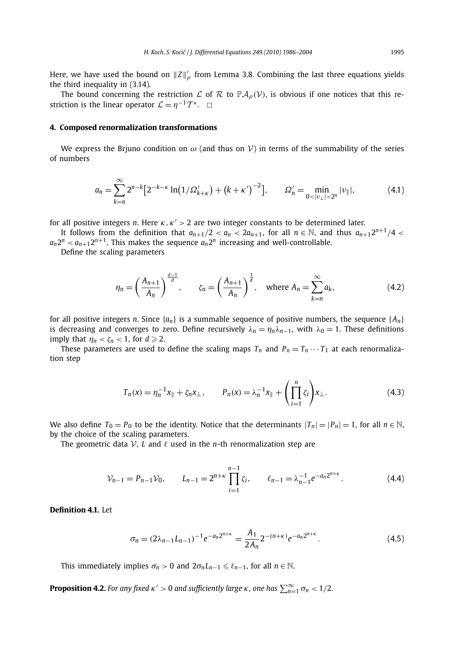Here, we have used the bound on  $||Z||'_\rho$  from Lemma 3.8. Combining the last three equations yields the third inequality in (3.14).

The bound concerning the restriction L of R to  $\mathbb{P}A_0(V)$ , is obvious if one notices that this restriction is the linear operator  $\mathcal{L} = \eta^{-1} \mathcal{T}^*$ .  $\Box$ 

#### **4. Composed renormalization transformations**

We express the Brjuno condition on  $\omega$  (and thus on V) in terms of the summability of the series of numbers

$$
a_n = \sum_{k=n}^{\infty} 2^{n-k} \big[ 2^{-k-k} \ln(1/\Omega_{k+k}') + (k + \kappa')^{-2} \big], \qquad \Omega_n' = \min_{0 < |v_\perp| < 2^n} |v_\parallel|, \tag{4.1}
$$

for all positive integers *n*. Here *κ, κ >* 2 are two integer constants to be determined later.

It follows from the definition that  $a_{n+1}/2 < a_n < 2a_{n+1}$ , for all  $n \in \mathbb{N}$ , and thus  $a_{n+1}2^{n+1}/4 < a_n$  $a_n 2^n < a_{n+1} 2^{n+1}$ . This makes the sequence  $a_n 2^n$  increasing and well-controllable.

Define the scaling parameters

$$
\eta_n = \left(\frac{A_{n+1}}{A_n}\right)^{\frac{d-1}{d}}, \qquad \zeta_n = \left(\frac{A_{n+1}}{A_n}\right)^{\frac{1}{d}}, \quad \text{where } A_n = \sum_{k=n}^{\infty} a_k,
$$
\n(4.2)

for all positive integers *n*. Since  $\{a_n\}$  is a summable sequence of positive numbers, the sequence  $\{A_n\}$ is decreasing and converges to zero. Define recursively  $\lambda_n = \eta_n \lambda_{n-1}$ , with  $\lambda_0 = 1$ . These definitions imply that  $\eta_n < \zeta_n < 1$ , for  $d \ge 2$ .

These parameters are used to define the scaling maps  $T_n$  and  $P_n = T_n \cdots T_1$  at each renormalization step

$$
T_n(x) = \eta_n^{-1} x_{\parallel} + \zeta_n x_{\perp}, \qquad P_n(x) = \lambda_n^{-1} x_{\parallel} + \left(\prod_{i=1}^n \zeta_i\right) x_{\perp}.
$$
 (4.3)

We also define  $T_0 = P_0$  to be the identity. Notice that the determinants  $|T_n| = |P_n| = 1$ , for all  $n \in \mathbb{N}$ , by the choice of the scaling parameters.

The geometric data  $V$ , *L* and  $\ell$  used in the *n*-th renormalization step are

$$
\mathcal{V}_{n-1} = P_{n-1} \mathcal{V}_0, \qquad L_{n-1} = 2^{n+\kappa} \prod_{i=1}^{n-1} \zeta_i, \qquad \ell_{n-1} = \lambda_{n-1}^{-1} e^{-a_n 2^{n+\kappa}}.
$$
 (4.4)

**Definition 4.1.** Let

$$
\sigma_n = (2\lambda_{n-1}L_{n-1})^{-1}e^{-a_n 2^{n+\kappa}} = \frac{A_1}{2A_n}2^{-(n+\kappa)}e^{-a_n 2^{n+\kappa}}.
$$
\n(4.5)

This immediately implies  $\sigma_n > 0$  and  $2\sigma_n L_{n-1} \leq \ell_{n-1}$ , for all  $n \in \mathbb{N}$ .

**Proposition 4.2.** For any fixed  $\kappa' > 0$  and sufficiently large  $\kappa$  , one has  $\sum_{n=1}^{\infty} \sigma_n < 1/2$ .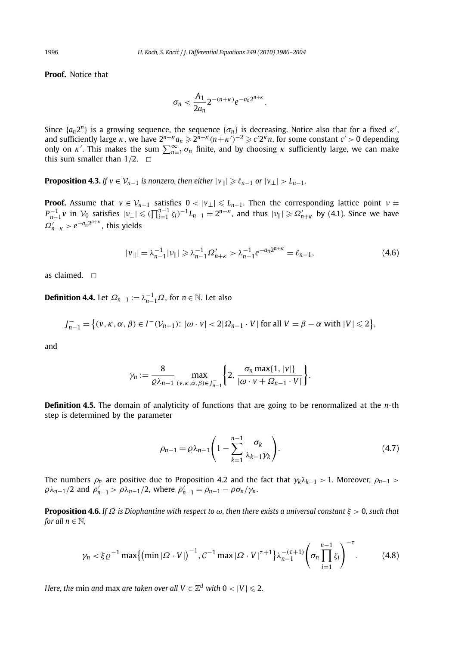**Proof.** Notice that

$$
\sigma_n < \frac{A_1}{2a_n} 2^{-(n+\kappa)} e^{-a_n 2^{n+\kappa}}.
$$

Since  $\{a_n 2^n\}$  is a growing sequence, the sequence  $\{\sigma_n\}$  is decreasing. Notice also that for a fixed  $\kappa'$ , and sufficiently large  $\kappa$ , we have  $2^{n+\kappa}a_n \geq 2^{n+\kappa}(n+\kappa')^{-2} \geq c'2^{\kappa}n$ , for some constant  $c' > 0$ only on *κ'*. This makes the sum  $\sum_{n=1}^{\infty} \sigma_n$  finite, and by choosing *κ* sufficiently large, we can make this sum smaller than  $1/2$ .  $\Box$ 

**Proposition 4.3.** If  $v \in V_{n-1}$  is nonzero, then either  $|v_{\parallel}| \geq \ell_{n-1}$  or  $|v_{\perp}| > L_{n-1}$ .

**Proof.** Assume that  $v \in V_{n-1}$  satisfies  $0 < |v_\perp| \le L_{n-1}$ . Then the corresponding lattice point  $v =$  $P_{n-1}^{-1}v$  in  $V_0$  satisfies  $|v_\perp| \leq (\prod_{i=1}^{n-1} \zeta_i)^{-1} L_{n-1} = 2^{n+\kappa}$ , and thus  $|v_\parallel| \geqslant \Omega'_{n+\kappa}$  by (4.1). Since we have  $\Omega'_{n+\kappa} > e^{-a_n 2^{n+\kappa}}$ , this yields

$$
|v_{\parallel}| = \lambda_{n-1}^{-1} |v_{\parallel}| \ge \lambda_{n-1}^{-1} \Omega_{n+\kappa}' > \lambda_{n-1}^{-1} e^{-a_n 2^{n+\kappa}} = \ell_{n-1},
$$
\n(4.6)

as claimed.  $\Box$ 

**Definition 4.4.** Let  $\Omega_{n-1} := \lambda_{n-1}^{-1} \Omega$ , for  $n \in \mathbb{N}$ . Let also

$$
J_{n-1}^- = \big\{ (v, \kappa, \alpha, \beta) \in I^-(\mathcal{V}_{n-1}) : |\omega \cdot v| < 2|\Omega_{n-1} \cdot V| \text{ for all } V = \beta - \alpha \text{ with } |V| \leq 2 \big\},
$$

and

$$
\gamma_n := \frac{8}{\varrho \lambda_{n-1}} \max_{(v,\kappa,\alpha,\beta) \in J_{n-1}^-} \bigg\{ 2, \frac{\sigma_n \max\{1,|v|\}}{|\omega \cdot v + \Omega_{n-1} \cdot V|} \bigg\}.
$$

**Definition 4.5.** The domain of analyticity of functions that are going to be renormalized at the *n*-th step is determined by the parameter

$$
\rho_{n-1} = \varrho \lambda_{n-1} \left( 1 - \sum_{k=1}^{n-1} \frac{\sigma_k}{\lambda_{k-1} \gamma_k} \right). \tag{4.7}
$$

The numbers  $ρ<sub>n</sub>$  are positive due to Proposition 4.2 and the fact that  $γ<sub>k</sub>λ<sub>k-1</sub> > 1$ . Moreover,  $ρ<sub>n-1</sub> >$  $\rho \lambda_{n-1}$  /2 and  $\rho'_{n-1} > \rho \lambda_{n-1}$  /2, where  $\rho'_{n-1} = \rho_{n-1} - \rho \sigma_n / \gamma_n$ .

**Proposition 4.6.** If  $\Omega$  is Diophantine with respect to  $\omega$ , then there exists a universal constant  $\xi > 0$ , such that *for all*  $n \in \mathbb{N}$ *,* 

$$
\gamma_n < \xi \varrho^{-1} \max\left\{ \left( \min |\varOmega \cdot V| \right)^{-1}, \varrho^{-1} \max |\varOmega \cdot V|^{\tau+1} \right\} \lambda_{n-1}^{-(\tau+1)} \left( \sigma_n \prod_{i=1}^{n-1} \zeta_i \right)^{-\tau} . \tag{4.8}
$$

*Here, the*  $\min$  *and*  $\max$  *are taken over all*  $V \in \mathbb{Z}^d$  *with*  $0 < |V| \leqslant 2$ *.*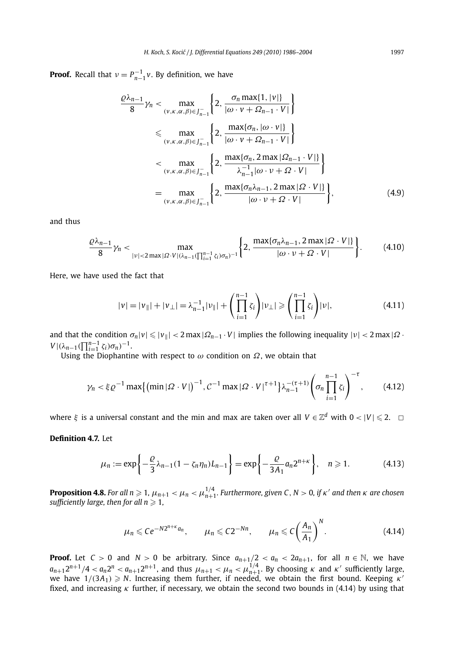**Proof.** Recall that  $\nu = P_{n-1}^{-1} \nu$ . By definition, we have

$$
\frac{\varrho\lambda_{n-1}}{8}\gamma_n < \max_{(v,\kappa,\alpha,\beta)\in J_{n-1}^-}\left\{2,\frac{\sigma_n\max\{1,|v|\}}{|\omega\cdot v+\Omega_{n-1}\cdot V|}\right\}
$$
\n
$$
\leq \max_{(v,\kappa,\alpha,\beta)\in J_{n-1}^-}\left\{2,\frac{\max\{\sigma_n,|\omega\cdot v|\}}{|\omega\cdot v+\Omega_{n-1}\cdot V|}\right\}
$$
\n
$$
\leq \max_{(v,\kappa,\alpha,\beta)\in J_{n-1}^-}\left\{2,\frac{\max\{\sigma_n,2\max|\Omega_{n-1}\cdot V|\}}{\lambda_{n-1}^{-1}|\omega\cdot v+\Omega\cdot V|}\right\}
$$
\n
$$
=\max_{(v,\kappa,\alpha,\beta)\in J_{n-1}^-}\left\{2,\frac{\max\{\sigma_n\lambda_{n-1},2\max|\Omega\cdot V|\}}{|\omega\cdot v+\Omega\cdot V|}\right\},\tag{4.9}
$$

and thus

$$
\frac{\varrho\lambda_{n-1}}{8}\gamma_n < \max_{|v| < 2\max\{\varOmega\cdot V | (\lambda_{n-1}(\prod_{i=1}^{n-1}\zeta_i)\sigma_n)^{-1}\}} \left\{ 2, \frac{\max\{\sigma_n\lambda_{n-1}, 2\max|\varOmega\cdot V| \}}{|\omega \cdot v + \varOmega \cdot V|} \right\}.
$$
\n(4.10)

Here, we have used the fact that

$$
|\nu| = |\nu_{\parallel}| + |\nu_{\perp}| = \lambda_{n-1}^{-1} |\nu_{\parallel}| + \left(\prod_{i=1}^{n-1} \zeta_i\right) |\nu_{\perp}| \geqslant \left(\prod_{i=1}^{n-1} \zeta_i\right) |\nu|,\tag{4.11}
$$

and that the condition  $\sigma_n|v|\leqslant |v_{\parallel}|<2$  max  $|\Omega_{n-1}\cdot V|$  implies the following inequality  $|v|<2$  max  $|\Omega\cdot$ *V*  $|((\lambda_{n-1}(\prod_{i=1}^{n-1} \zeta_i)\sigma_n)^{-1})$ .

Using the Diophantine with respect to  $\omega$  condition on  $\Omega$ , we obtain that

$$
\gamma_n < \xi \varrho^{-1} \max\left\{ \left( \min|\varOmega \cdot V| \right)^{-1}, \varrho^{-1} \max|\varOmega \cdot V|^{\tau+1} \right\} \lambda_{n-1}^{-(\tau+1)} \left( \sigma_n \prod_{i=1}^{n-1} \zeta_i \right)^{-\tau},\tag{4.12}
$$

where  $\xi$  is a universal constant and the min and max are taken over all  $V \in \mathbb{Z}^d$  with  $0 < |V| \leq 2$ .  $\Box$ 

**Definition 4.7.** Let

$$
\mu_n := \exp\left\{-\frac{\varrho}{3}\lambda_{n-1}(1-\zeta_n\eta_n)L_{n-1}\right\} = \exp\left\{-\frac{\varrho}{3A_1}a_n2^{n+\kappa}\right\}, \quad n \geqslant 1. \tag{4.13}
$$

**Proposition 4.8.** For all  $n\geqslant 1$ ,  $\mu_{n+1}<\mu_n<\mu_{n+1}^{1/4}$ . Furthermore, given C , N  $>$  0, if  $\kappa'$  and then  $\kappa$  are chosen *sufficiently large, then for all*  $n \ge 1$ *,* 

$$
\mu_n \leqslant Ce^{-N2^{n+\kappa}a_n}, \qquad \mu_n \leqslant C2^{-Nn}, \qquad \mu_n \leqslant C\bigg(\frac{A_n}{A_1}\bigg)^N. \tag{4.14}
$$

**Proof.** Let  $C > 0$  and  $N > 0$  be arbitrary. Since  $a_{n+1}/2 < a_n < 2a_{n+1}$ , for all  $n \in \mathbb{N}$ , we have  $a_{n+1}2^{n+1}/4 < a_n2^n < a_{n+1}2^{n+1}$ , and thus  $\mu_{n+1} < \mu_n < \mu_{n+1}^{1/4}$ . By choosing  $\kappa$  and  $\kappa'$  sufficiently large, we have  $1/(3A_1) \geqslant N$ . Increasing them further, if needed, we obtain the first bound. Keeping  $\kappa'$ fixed, and increasing *κ* further, if necessary, we obtain the second two bounds in (4.14) by using that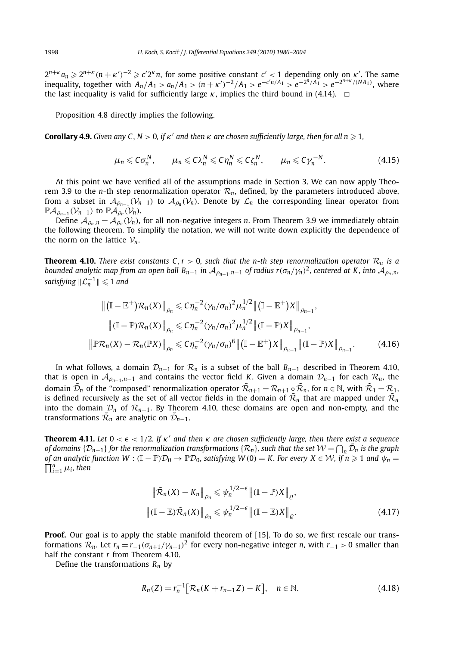$2^{n+\kappa}a_n\geqslant 2^{n+\kappa}(n+\kappa')^{-2}\geqslant c'2^{\kappa}n$ , for some positive constant  $c'<1$  depending only on  $\kappa'$ . The same inequality, together with  $A_n/A_1 > a_n/A_1 > (n+\kappa')^{-2}/A_1 > e^{-c'n/A_1} > e^{-2^n/A_1} > e^{-2^{n+\kappa}/(NA_1)}$ , where the last inequality is valid for sufficiently large  $\kappa$ , implies the third bound in (4.14).  $\Box$ 

Proposition 4.8 directly implies the following.

**Corollary 4.9.** *Given any C*,  $N > 0$ , if  $\kappa'$  and then  $\kappa$  are chosen sufficiently large, then for all  $n \ge 1$ .

$$
\mu_n \leqslant C\sigma_n^N, \qquad \mu_n \leqslant C\lambda_n^N \leqslant C\eta_n^N \leqslant C\zeta_n^N, \qquad \mu_n \leqslant C\gamma_n^{-N}.\tag{4.15}
$$

At this point we have verified all of the assumptions made in Section 3. We can now apply Theorem 3.9 to the *n*-th step renormalization operator  $\mathcal{R}_n$ , defined, by the parameters introduced above, from a subset in  $\mathcal{A}_{\rho_{n-1}}(\mathcal{V}_{n-1})$  to  $\mathcal{A}_{\rho_n}(\mathcal{V}_n)$ . Denote by  $\mathcal{L}_n$  the corresponding linear operator from  $\mathbb{P}\mathcal{A}_{\rho_n}(\mathcal{V}_{n-1})$  to  $\mathbb{P}\mathcal{A}_{\rho_n}(\mathcal{V}_n)$ .

Define  $A_{\rho_n,n} = A_{\rho_n}(\mathcal{V}_n)$ , for all non-negative integers *n*. From Theorem 3.9 we immediately obtain the following theorem. To simplify the notation, we will not write down explicitly the dependence of the norm on the lattice  $V_n$ .

**Theorem 4.10.** *There exist constants*  $C, r > 0$ *, such that the n-th step renormalization operator*  $\mathcal{R}_n$  *is a bounded analytic map from an open ball*  $B_{n-1}$  *in*  $A_{\rho_{n-1},n-1}$  *of radius*  $r(\sigma_n/\gamma_n)^2$ , centered at K, into  $A_{\rho_n,n}$ ,  $satisfying \|\mathcal{L}_n^{-1}\| \leqslant 1$  and

$$
\| (\mathbb{I} - \mathbb{E}^+) \mathcal{R}_n(X) \|_{\rho_n} \leq C \eta_n^{-2} (\gamma_n / \sigma_n)^2 \mu_n^{1/2} \| (\mathbb{I} - \mathbb{E}^+) X \|_{\rho_{n-1}},
$$
  

$$
\| (\mathbb{I} - \mathbb{P}) \mathcal{R}_n(X) \|_{\rho_n} \leq C \eta_n^{-2} (\gamma_n / \sigma_n)^2 \mu_n^{1/2} \| (\mathbb{I} - \mathbb{P}) X \|_{\rho_{n-1}},
$$
  

$$
\| \mathbb{P} \mathcal{R}_n(X) - \mathcal{R}_n(\mathbb{P} X) \|_{\rho_n} \leq C \eta_n^{-2} (\gamma_n / \sigma_n)^6 \| (\mathbb{I} - \mathbb{E}^+) X \|_{\rho_{n-1}} \| (\mathbb{I} - \mathbb{P}) X \|_{\rho_{n-1}}.
$$
 (4.16)

In what follows, a domain  $\mathcal{D}_{n-1}$  for  $\mathcal{R}_n$  is a subset of the ball  $B_{n-1}$  described in Theorem 4.10, that is open in  $\mathcal{A}_{\rho_{n-1},n-1}$  and contains the vector field *K*. Given a domain  $\mathcal{D}_{n-1}$  for each  $\mathcal{R}_n$ , the domain  $\mathcal{D}_n$  of the "composed" renormalization operator  $\mathcal{R}_{n+1} = \mathcal{R}_{n+1} \circ \mathcal{R}_n$ , for  $n \in \mathbb{N}$ , with  $\mathcal{R}_1 = \mathcal{R}_1$ , is defined recursively as the set of all vector fields in the domain of  $\tilde{\mathcal{R}}_n$  that are mapped under  $\tilde{\mathcal{R}}_n$ into the domain  $\mathcal{D}_n$  of  $\mathcal{R}_{n+1}$ . By Theorem 4.10, these domains are open and non-empty, and the transformations  $\mathcal{R}_n$  are analytic on  $\mathcal{D}_{n-1}$ .

**Theorem 4.11.** Let  $0 < \epsilon < 1/2$ . If  $\kappa'$  and then  $\kappa$  are chosen sufficiently large, then there exist a sequence *of domains* { $D_{n-1}$ } *for the renormalization transformations* { $R_n$ }*, such that the set*  $W = \bigcap_n \tilde{D}_n$  *is the graph of an analytic function W* :  $(\mathbb{I} - \mathbb{P})\mathcal{D}_0 \to \mathbb{P}\mathcal{D}_0$ , satisfying  $W(0) = K$ . For every  $X \in \mathcal{W}$ , if  $n \ge 1$  and  $\psi_n = \prod^n_i u$ , then  $\prod_{i=1}^n \mu_i$ , then

$$
\|\tilde{\mathcal{R}}_n(X) - K_n\|_{\rho_n} \le \psi_n^{1/2 - \epsilon} \| (\mathbb{I} - \mathbb{P})X \|_{\varrho},
$$
  

$$
\| (\mathbb{I} - \mathbb{E})\tilde{\mathcal{R}}_n(X) \|_{\rho_n} \le \psi_n^{1/2 - \epsilon} \| (\mathbb{I} - \mathbb{E})X \|_{\varrho}.
$$
 (4.17)

**Proof.** Our goal is to apply the stable manifold theorem of [15]. To do so, we first rescale our transformations  $\mathcal{R}_n$ . Let  $r_n = r_{-1}(\sigma_{n+1}/\gamma_{n+1})^2$  for every non-negative integer *n*, with  $r_{-1} > 0$  smaller than half the constant *r* from Theorem 4.10.

Define the transformations *Rn* by

$$
R_n(Z) = r_n^{-1} \big[ \mathcal{R}_n(K + r_{n-1}Z) - K \big], \quad n \in \mathbb{N}.
$$
 (4.18)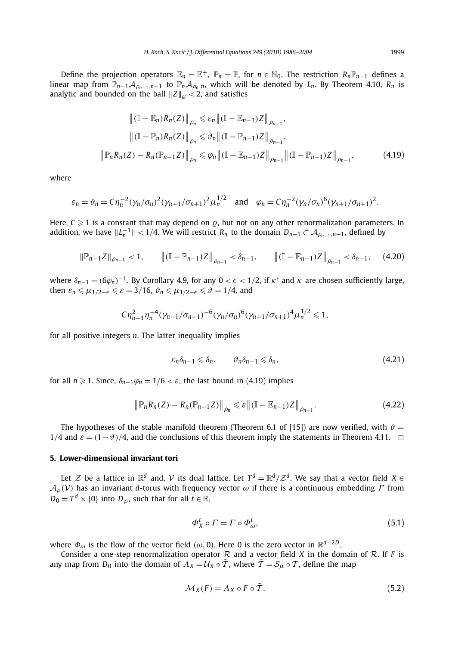Define the projection operators  $\mathbb{E}_n = \mathbb{E}^+$ ,  $\mathbb{P}_n = \mathbb{P}$ , for  $n \in \mathbb{N}_0$ . The restriction  $R_n \mathbb{P}_{n-1}$  defines a linear map from  $\mathbb{P}_{n-1}A_{\rho_{n-1},n-1}$  to  $\mathbb{P}_nA_{\rho_n,n}$ , which will be denoted by  $L_n$ . By Theorem 4.10,  $R_n$  is analytic and bounded on the ball  $\|Z\|_{\rho} < 2$ , and satisfies

$$
\| (\mathbb{I} - \mathbb{E}_n) R_n(Z) \|_{\rho_n} \le \varepsilon_n \| (\mathbb{I} - \mathbb{E}_{n-1}) Z \|_{\rho_{n-1}},
$$
  

$$
\| (\mathbb{I} - \mathbb{P}_n) R_n(Z) \|_{\rho_n} \le \vartheta_n \| (\mathbb{I} - \mathbb{P}_{n-1}) Z \|_{\rho_{n-1}},
$$
  

$$
\| \mathbb{P}_n R_n(Z) - R_n(\mathbb{P}_{n-1} Z) \|_{\rho_n} \le \varphi_n \| (\mathbb{I} - \mathbb{E}_{n-1}) Z \|_{\rho_{n-1}} \| (\mathbb{I} - \mathbb{P}_{n-1}) Z \|_{\rho_{n-1}},
$$
 (4.19)

where

$$
\varepsilon_n = \vartheta_n = C \eta_n^{-2} (\gamma_n / \sigma_n)^2 (\gamma_{n+1} / \sigma_{n+1})^2 \mu_n^{1/2} \quad \text{and} \quad \varphi_n = C \eta_n^{-2} (\gamma_n / \sigma_n)^6 (\gamma_{n+1} / \sigma_{n+1})^2.
$$

Here,  $C \geq 1$  is a constant that may depend on  $\rho$ , but not on any other renormalization parameters. In addition, we have  $||L_n^{-1}|| < 1/4$ . We will restrict  $R_n$  to the domain  $D_{n-1} \subset A_{\rho_{n-1},n-1}$ , defined by

$$
\|\mathbb{P}_{n-1}Z\|_{\rho_{n-1}} < 1, \qquad \left\| (\mathbb{I} - \mathbb{P}_{n-1})Z \right\|_{\rho_{n-1}} < \delta_{n-1}, \qquad \left\| (\mathbb{I} - \mathbb{E}_{n-1})Z \right\|_{\rho_{n-1}} < \delta_{n-1}, \qquad (4.20)
$$

where  $\delta_{n-1} = (6\varphi_n)^{-1}$ . By Corollary 4.9, for any  $0 < \epsilon < 1/2$ , if  $\kappa'$  and  $\kappa$  are chosen sufficiently large, then  $\varepsilon_n \leq \mu_{1/2-\epsilon} \leq \varepsilon = 3/16$ ,  $\vartheta_n \leq \mu_{1/2-\epsilon} \leq \vartheta = 1/4$ , and

$$
C\eta_{n-1}^2 \eta_n^{-4} (\gamma_{n-1}/\sigma_{n-1})^{-6} (\gamma_n/\sigma_n)^6 (\gamma_{n+1}/\sigma_{n+1})^4 \mu_n^{1/2} \leq 1,
$$

for all positive integers *n*. The latter inequality implies

$$
\varepsilon_n \delta_{n-1} \leqslant \delta_n, \qquad \vartheta_n \delta_{n-1} \leqslant \delta_n, \tag{4.21}
$$

for all  $n \ge 1$ . Since,  $\delta_{n-1}\varphi_n = 1/6 < \varepsilon$ , the last bound in (4.19) implies

$$
\left\|\mathbb{P}_{n}R_{n}(Z)-R_{n}(\mathbb{P}_{n-1}Z)\right\|_{\rho_{n}}\leq \varepsilon\left\|(\mathbb{I}-\mathbb{E}_{n-1})Z\right\|_{\rho_{n-1}}.\tag{4.22}
$$

The hypotheses of the stable manifold theorem (Theorem 6.1 of [15]) are now verified, with  $\vartheta =$  $1/4$  and  $\varepsilon = (1-\vartheta)/4$ , and the conclusions of this theorem imply the statements in Theorem 4.11.  $\Box$ 

### **5. Lower-dimensional invariant tori**

Let  $\mathcal Z$  be a lattice in  $\mathbb R^d$  and,  $\mathcal V$  its dual lattice. Let  $T^d = \mathbb R^d/\mathcal Z^d$ . We say that a vector field  $X \in$ A*ρ(*V*)* has an invariant *<sup>d</sup>*-torus with frequency vector *ω* if there is a continuous embedding *Γ* from  $D_0 = T^d \times \{0\}$  into  $D_\rho$ , such that for all  $t \in \mathbb{R}$ ,

$$
\Phi_X^t \circ \Gamma = \Gamma \circ \Phi_\omega^t,\tag{5.1}
$$

where  $\Phi_{\omega}$  is the flow of the vector field  $(\omega, 0)$ . Here 0 is the zero vector in  $\mathbb{R}^{d+2D}$ .

Consider a one-step renormalization operator  $R$  and a vector field *X* in the domain of  $R$ . If *F* is any map from  $D_0$  into the domain of  $\Lambda_X = \mathcal{U}_X \circ \tilde{\mathcal{T}}$ , where  $\tilde{\mathcal{T}} = \mathcal{S}_\mu \circ \mathcal{T}$ , define the map

$$
\mathcal{M}_X(F) = \Lambda_X \circ F \circ \tilde{T}.
$$
\n(5.2)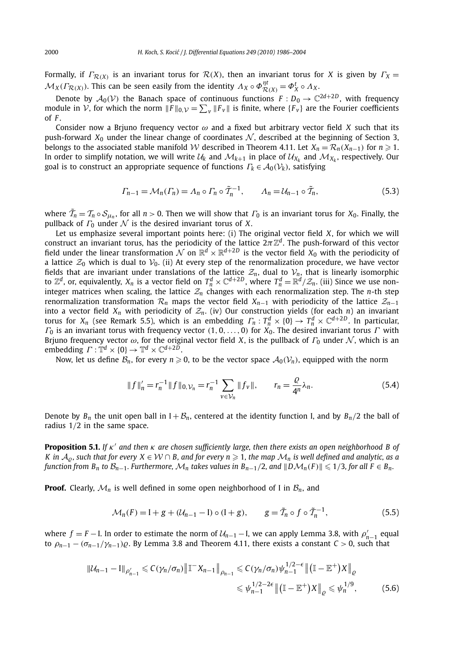Formally, if  $\Gamma_{\mathcal{R}(X)}$  is an invariant torus for  $\mathcal{R}(X)$ , then an invariant torus for *X* is given by  $\Gamma_X =$  $\mathcal{M}_X(\Gamma_{\mathcal{R}(X)})$ . This can be seen easily from the identity  $\Lambda_X \circ \Phi_{\mathcal{R}(X)}^{\eta t} = \Phi_X^t \circ \Lambda_X$ .

Denote by  $A_0(V)$  the Banach space of continuous functions  $F: D_0 \to \mathbb{C}^{2d+2D}$ , with frequency module in V, for which the norm  $||F||_{0,\mathcal{V}} = \sum_{v} ||F_v||$  is finite, where  $\{F_v\}$  are the Fourier coefficients of *F* .

Consider now a Brjuno frequency vector *ω* and a fixed but arbitrary vector field *X* such that its push-forward  $X_0$  under the linear change of coordinates  $N$ , described at the beginning of Section 3, belongs to the associated stable manifold W described in Theorem 4.11. Let  $X_n = \mathcal{R}_n(X_{n-1})$  for  $n \ge 1$ . In order to simplify notation, we will write  $U_k$  and  $M_{k+1}$  in place of  $U_{\chi_k}$  and  $M_{\chi_k}$ , respectively. Our goal is to construct an appropriate sequence of functions  $\Gamma_k \in A_0(\mathcal{V}_k)$ , satisfying

$$
\Gamma_{n-1} = \mathcal{M}_n(\Gamma_n) = \Lambda_n \circ \Gamma_n \circ \tilde{T}_n^{-1}, \qquad \Lambda_n = \mathcal{U}_{n-1} \circ \tilde{T}_n,\tag{5.3}
$$

where  $\tilde{T}_n = T_n \circ S_{\mu_n}$ , for all  $n > 0$ . Then we will show that  $\Gamma_0$  is an invariant torus for  $X_0$ . Finally, the pullback of  $\Gamma_0$  under  $\mathcal N$  is the desired invariant torus of *X*.

Let us emphasize several important points here: (i) The original vector field *X*, for which we will construct an invariant torus, has the periodicity of the lattice  $2\pi\mathbb{Z}^d$ . The push-forward of this vector field under the linear transformation N on  $\mathbb{R}^d \times \mathbb{R}^{d+2D}$  is the vector field  $X_0$  with the periodicity of a lattice  $\mathcal{Z}_0$  which is dual to  $\mathcal{V}_0$ . (ii) At every step of the renormalization procedure, we have vector fields that are invariant under translations of the lattice  $\mathcal{Z}_n$ , dual to  $\mathcal{V}_n$ , that is linearly isomorphic<br>to  $\mathbb{Z}^d$ , or, equivalently,  $X_n$  is a vector field on  $T_n^d \times \mathbb{C}^{d+2D}$ , where  $T_n^d = \mathbb{R}^d/\math$ integer matrices when scaling, the lattice  $Z_n$  changes with each renormalization step. The *n*-th step renormalization transformation  $\mathcal{R}_n$  maps the vector field  $X_{n-1}$  with periodicity of the lattice  $\mathcal{Z}_{n-1}$ into a vector field  $X_n$  with periodicity of  $\mathcal{Z}_n$ . (iv) Our construction yields (for each *n*) an invariant torus for  $X_n$  (see Remark 5.5), which is an embedding  $\varGamma_n: T_n^d \times \{0\} \to T_n^d \times \mathbb{C}^{d+2D}$ . In particular *Γ*<sup>0</sup> is an invariant torus with frequency vector *(*1*,* 0*,...,* 0*)* for *X*0. The desired invariant torus *Γ* with Brjuno frequency vector  $\omega$ , for the original vector field *X*, is the pullback of  $\Gamma_0$  under  $\mathcal N$ , which is an embedding  $\Gamma : \mathbb{T}^d \times \{0\} \to \mathbb{T}^d \times \mathbb{C}^{d+2D}$ .

Now, let us define  $B_n$ , for every  $n \geq 0$ , to be the vector space  $A_0(V_n)$ , equipped with the norm

$$
||f||'_{n} = r_{n}^{-1} ||f||_{0, \mathcal{V}_{n}} = r_{n}^{-1} \sum_{v \in \mathcal{V}_{n}} ||f_{v}||, \qquad r_{n} = \frac{\varrho}{4^{n}} \lambda_{n}.
$$
 (5.4)

Denote by  $B_n$  the unit open ball in  $I + B_n$ , centered at the identity function I, and by  $B_n/2$  the ball of radius 1*/*2 in the same space.

**Proposition 5.1.** *If κ and then κ are chosen sufficiently large, then there exists an open neighborhood B of K* in  $A_0$ , such that for every  $X \in W \cap B$ , and for every  $n \ge 1$ , the map  $\mathcal{M}_n$  is well defined and analytic, as a *function from B<sub>n</sub> to B<sub>n−1</sub>. Furthermore,*  $M_n$  *takes values in B<sub>n−1</sub>/2, and*  $||DM_n(F)|| ≤ 1/3$ *, for all F ∈ B<sub>n</sub>.* 

**Proof.** Clearly,  $\mathcal{M}_n$  is well defined in some open neighborhood of I in  $\mathcal{B}_n$ , and

$$
\mathcal{M}_n(F) = I + g + (\mathcal{U}_{n-1} - I) \circ (I + g), \qquad g = \tilde{\mathcal{T}}_n \circ f \circ \tilde{\mathcal{T}}_n^{-1}, \tag{5.5}
$$

where  $f = F - I$ . In order to estimate the norm of  $U_{n-1} - I$ , we can apply Lemma 3.8, with  $\rho'_{n-1}$  equal to  $\rho_{n-1} - (\sigma_{n-1}/\gamma_{n-1})\varrho$ . By Lemma 3.8 and Theorem 4.11, there exists a constant *C* > 0, such that

$$
\|U_{n-1} - I\|_{\rho'_{n-1}} \leq C(\gamma_n/\sigma_n) \|\mathbb{T}^{\mathsf{T}} X_{n-1}\|_{\rho_{n-1}} \leq C(\gamma_n/\sigma_n) \psi_{n-1}^{1/2-\epsilon} \|(I - \mathbb{E}^+) X\|_{\varrho} \leq \psi_{n-1}^{1/2-2\epsilon} \|(I - \mathbb{E}^+) X\|_{\varrho} \leq \psi_n^{1/9},
$$
\n(5.6)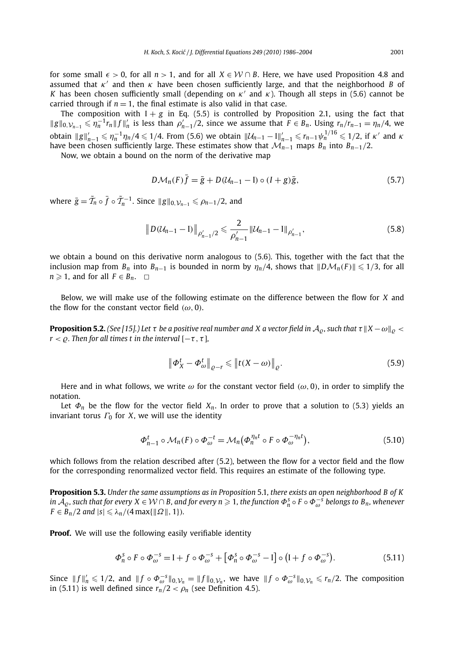for some small  $\epsilon > 0$ , for all  $n > 1$ , and for all  $X \in \mathcal{W} \cap B$ . Here, we have used Proposition 4.8 and assumed that *κ* and then *κ* have been chosen sufficiently large, and that the neighborhood *B* of *K* has been chosen sufficiently small (depending on  $\kappa'$  and  $\kappa$ ). Though all steps in (5.6) cannot be carried through if  $n = 1$ , the final estimate is also valid in that case.

The composition with  $I + g$  in Eq. (5.5) is controlled by Proposition 2.1, using the fact that  $||g||_{0,\mathcal{V}_{n-1}} \leq \eta_n^{-1} r_n ||f||'_n$  is less than  $\rho'_{n-1}/2$ , since we assume that  $F \in B_n$ . Using  $r_n/r_{n-1} = \eta_n/4$ , we obtain  $||g||'_{n-1} \le \eta_n^{-1} \eta_n/4 \le 1/4$ . From (5.6) we obtain  $||\mathcal{U}_{n-1} - I||'_{n-1} \le r_{n-1} \psi_n^{1/16} \le 1/2$ , if  $\kappa'$  and  $\kappa$ have been chosen sufficiently large. These estimates show that  $\mathcal{M}_{n-1}$  maps  $B_n$  into  $B_{n-1}/2$ .

Now, we obtain a bound on the norm of the derivative map

$$
D\mathcal{M}_n(F)\overline{f} = \overline{g} + D(\mathcal{U}_{n-1} - I) \circ (I + g)\overline{g},\tag{5.7}
$$

where  $\bar{g} = \tilde{T}_n \circ \bar{f} \circ \tilde{T}_n^{-1}$ . Since  $||g||_{0, \mathcal{V}_{n-1}} \le \rho_{n-1}/2$ , and

$$
\|D(\mathcal{U}_{n-1}-I)\|_{\rho'_{n-1}/2} \leq \frac{2}{\rho'_{n-1}} \|\mathcal{U}_{n-1}-I\|_{\rho'_{n-1}},
$$
\n(5.8)

we obtain a bound on this derivative norm analogous to (5.6). This, together with the fact that the inclusion map from  $B_n$  into  $B_{n-1}$  is bounded in norm by  $\eta_n/4$ , shows that  $||D\mathcal{M}_n(F)|| \leq 1/3$ , for all *n*  $\geq$  1, and for all *F* ∈ *B<sub>n</sub>*.  $\Box$ 

Below, we will make use of the following estimate on the difference between the flow for *X* and the flow for the constant vector field  $(\omega, 0)$ .

**Proposition 5.2.** (See [15].) Let  $\tau$  be a positive real number and X a vector field in  $A_0$ , such that  $\tau ||X - \omega||_0 < \tau$ *r* <  $\rho$ *. Then for all times t in the interval*  $[-\tau, \tau]$ *,* 

$$
\left\|\boldsymbol{\Phi}_{\boldsymbol{X}}^t - \boldsymbol{\Phi}_{\omega}^t\right\|_{\varrho - r} \leqslant \left\|\boldsymbol{t}(\boldsymbol{X} - \boldsymbol{\omega})\right\|_{\varrho}.\tag{5.9}
$$

Here and in what follows, we write *ω* for the constant vector field *(ω,* 0*)*, in order to simplify the notation.

Let  $\Phi_n$  be the flow for the vector field  $X_n$ . In order to prove that a solution to (5.3) yields an invariant torus  $\Gamma_0$  for *X*, we will use the identity

$$
\Phi_{n-1}^t \circ \mathcal{M}_n(F) \circ \Phi_{\omega}^{-t} = \mathcal{M}_n(\Phi_n^{\eta_n t} \circ F \circ \Phi_{\omega}^{-\eta_n t}), \tag{5.10}
$$

which follows from the relation described after (5.2), between the flow for a vector field and the flow for the corresponding renormalized vector field. This requires an estimate of the following type.

**Proposition 5.3.** *Under the same assumptions as in Proposition* 5.1*, there exists an open neighborhood B of K*  $in$   $A_{\varrho}$ , such that for every  $X \in \mathcal{W} \cap B$ , and for every  $n \geqslant 1$ , the function  $\Phi_n^S \circ F \circ \Phi_{\omega}^{-S}$  belongs to  $B_n$ , whenever  $F \in B_n/2$  *and*  $|s| \le \lambda_n/(4 \max\{\| \Omega \|, 1\}).$ 

**Proof.** We will use the following easily verifiable identity

$$
\Phi_n^s \circ F \circ \Phi_{\omega}^{-s} = I + f \circ \Phi_{\omega}^{-s} + [\Phi_n^s \circ \Phi_{\omega}^{-s} - I] \circ (I + f \circ \Phi_{\omega}^{-s}). \tag{5.11}
$$

Since  $||f||_n \le 1/2$ , and  $||f \circ \Phi_{\omega}^{-s}||_{0,\mathcal{V}_n} = ||f||_{0,\mathcal{V}_n}$ , we have  $||f \circ \Phi_{\omega}^{-s}||_{0,\mathcal{V}_n} \le r_n/2$ . The composition in (5.11) is well defined since  $r_n/2 < \rho_n$  (see Definition 4.5).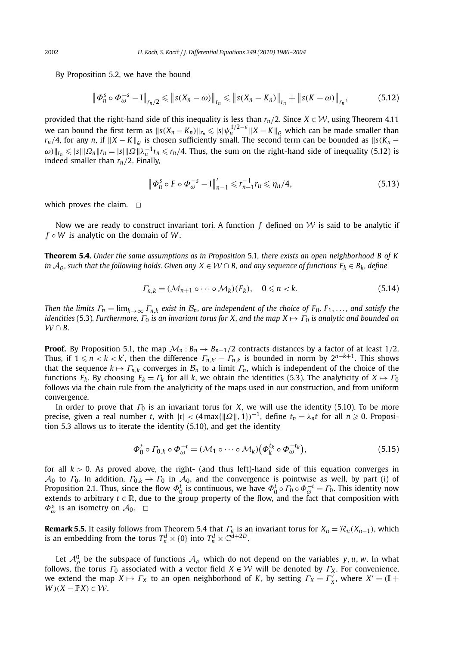By Proposition 5.2, we have the bound

$$
\left\| \Phi_n^S \circ \Phi_{\omega}^{-s} - I \right\|_{r_n/2} \leqslant \left\| s(X_n - \omega) \right\|_{r_n} \leqslant \left\| s(X_n - K_n) \right\|_{r_n} + \left\| s(K - \omega) \right\|_{r_n},\tag{5.12}
$$

provided that the right-hand side of this inequality is less than  $r_n/2$ . Since  $X \in \mathcal{W}$ , using Theorem 4.11 we can bound the first term as  $\|s(X_n-K_n)\|_{r_n}\leqslant |s|\psi_n^{1/2-\epsilon}\|X-K\|_{\varrho}$  which can be made smaller than  $r_n/4$ , for any *n*, if  $\|X - K\|_o$  is chosen sufficiently small. The second term can be bounded as  $\|s(K_n - K)\|_o$  $\omega$ ) $\|r_n \leqslant |s| \|\Omega_n\| r_n = |s| \|\Omega\| \lambda_n^{-1} r_n \leqslant r_n/4$ . Thus, the sum on the right-hand side of inequality (5.12) is indeed smaller than *rn/*2. Finally,

$$
\|\Phi_n^s \circ F \circ \Phi_{\omega}^{-s} - I\|_{n-1}' \le r_{n-1}^{-1} r_n \le \eta_n/4,
$$
\n(5.13)

which proves the claim.  $\square$ 

Now we are ready to construct invariant tori. A function  $f$  defined on  $W$  is said to be analytic if *f* ◦ *W* is analytic on the domain of *W* .

**Theorem 5.4.** *Under the same assumptions as in Proposition* 5.1*, there exists an open neighborhood B of K in*  $A_0$ , such that the following holds. Given any  $X \in W \cap B$ , and any sequence of functions  $F_k \in B_k$ , define

$$
\Gamma_{n,k} = (\mathcal{M}_{n+1} \circ \cdots \circ \mathcal{M}_k)(F_k), \quad 0 \leq n < k. \tag{5.14}
$$

*Then the limits*  $\Gamma_n = \lim_{k \to \infty} \Gamma_{n,k}$  *exist in*  $\mathcal{B}_n$ *, are independent of the choice of*  $F_0, F_1, \ldots$ *, and satisfy the identities* (5.3). Furthermore,  $\Gamma_0$  *is an invariant torus for X, and the map*  $X \mapsto \Gamma_0$  *is analytic and bounded on*  $W \cap B$ .

**Proof.** By Proposition 5.1, the map  $\mathcal{M}_n : B_n \to B_{n-1}/2$  contracts distances by a factor of at least 1/2. Thus, if  $1 \leq n < k < k'$ , then the difference  $\Gamma_{n,k'} - \Gamma_{n,k}$  is bounded in norm by  $2^{n-k+1}$ . This shows that the sequence  $k \mapsto \Gamma_{n,k}$  converges in  $\mathcal{B}_n$  to a limit  $\Gamma_n$ , which is independent of the choice of the functions  $F_k$ . By choosing  $F_k = \Gamma_k$  for all k, we obtain the identities (5.3). The analyticity of  $X \mapsto \Gamma_0$ follows via the chain rule from the analyticity of the maps used in our construction, and from uniform convergence.

In order to prove that *Γ*<sup>0</sup> is an invariant torus for *X*, we will use the identity (5.10). To be more precise, given a real number *t*, with  $|t| < (4 \max\{\| \Omega \|, 1\})^{-1}$ , define  $t_n = \lambda_n t$  for all  $n \ge 0$ . Proposition 5.3 allows us to iterate the identity (5.10), and get the identity

$$
\Phi_0^t \circ \Gamma_{0,k} \circ \Phi_{\omega}^{-t} = (\mathcal{M}_1 \circ \cdots \circ \mathcal{M}_k) \big( \Phi_k^{t_k} \circ \Phi_{\omega}^{-t_k} \big), \tag{5.15}
$$

for all *k >* 0. As proved above, the right- (and thus left)-hand side of this equation converges in  $A_0$  to  $\Gamma_0$ . In addition,  $\Gamma_{0,k} \to \Gamma_0$  in  $A_0$ , and the convergence is pointwise as well, by part (i) of Proposition 2.1. Thus, since the flow  $\Phi_0^t$  is continuous, we have  $\Phi_0^t \circ \Gamma_0 \circ \Phi_\omega^{-t} = \Gamma_0$ . This identity now extends to arbitrary  $t \in \mathbb{R}$ , due to the group property of the flow, and the fact that composition with  $\Phi_{\omega}^{s}$  is an isometry on  $\mathcal{A}_{0}$ .  $\square$ 

**Remark 5.5.** It easily follows from Theorem 5.4 that  $\Gamma_n$  is an invariant torus for  $X_n = \mathcal{R}_n(X_{n-1})$ , which is an embedding from the torus  $T_n^d\times \{0\}$  into  $T_n^d\times \mathbb{C}^{d+2D}.$ 

Let  $\mathcal{A}_{\rho}^{0}$  be the subspace of functions  $\mathcal{A}_{\rho}$  which do not depend on the variables *y, u, w.* In what follows, the torus  $\Gamma_0$  associated with a vector field  $X \in \mathcal{W}$  will be denoted by  $\Gamma_X$ . For convenience, we extend the map  $X \mapsto \Gamma_X$  to an open neighborhood of *K*, by setting  $\Gamma_X = \Gamma'_X$ , where  $X' = (\mathbb{I} + \mathbb{I})$ *W*  $)(X - P X) ∈ W$ .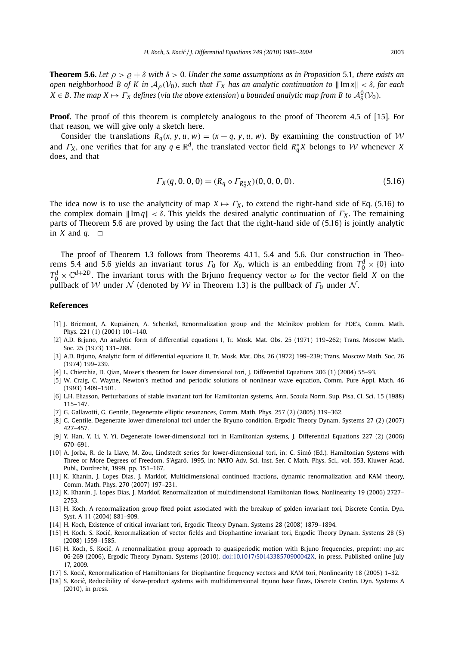**Theorem 5.6.** Let  $\rho > \rho + \delta$  with  $\delta > 0$ . Under the same assumptions as in Proposition 5.1, there exists an *open neighborhood B of K in*  $A_0(V_0)$ *, such that*  $\Gamma_X$  *has an analytic continuation to*  $\|\text{Im }x\| < \delta$ *, for each*  $X \in B$ . The map  $X \mapsto \Gamma_X$  defines (via the above extension) a bounded analytic map from B to  $\mathcal{A}^0_\delta(\mathcal{V}_0)$ .

**Proof.** The proof of this theorem is completely analogous to the proof of Theorem 4.5 of [15]. For that reason, we will give only a sketch here.

Consider the translations  $R_q(x, y, u, w) = (x + q, y, u, w)$ . By examining the construction of W and  $\Gamma_X$ , one verifies that for any  $q \in \mathbb{R}^d$ , the translated vector field  $R_q^*X$  belongs to W whenever *X* does, and that

$$
\Gamma_X(q, 0, 0, 0) = (R_q \circ \Gamma_{R_q^*X})(0, 0, 0, 0).
$$
\n(5.16)

The idea now is to use the analyticity of map  $X \mapsto \Gamma_X$ , to extend the right-hand side of Eq. (5.16) to the complex domain  $||Im q|| < \delta$ . This yields the desired analytic continuation of  $\Gamma_X$ . The remaining parts of Theorem 5.6 are proved by using the fact that the right-hand side of (5.16) is jointly analytic in *X* and *q*.  $\Box$ 

The proof of Theorem 1.3 follows from Theorems 4.11, 5.4 and 5.6. Our construction in Theorems 5.4 and 5.6 yields an invariant torus  $\Gamma_0$  for  $X_0$ , which is an embedding from  $T_0^d \times \{0\}$  into  $T_0^d \times \mathbb{C}^{d+2D}$ . The invariant torus with the Brjuno frequency vector  $\omega$  for the vector field *X* on the pullback of V under N (denoted by W in Theorem 1.3) is the pullback of  $\Gamma_0$  under N.

#### **References**

- [1] J. Bricmont, A. Kupiainen, A. Schenkel, Renormalization group and the Melnikov problem for PDE's, Comm. Math. Phys. 221 (1) (2001) 101–140.
- [2] A.D. Brjuno, An analytic form of differential equations I, Tr. Mosk. Mat. Obs. 25 (1971) 119–262; Trans. Moscow Math. Soc. 25 (1973) 131–288.
- [3] A.D. Brjuno, Analytic form of differential equations II, Tr. Mosk. Mat. Obs. 26 (1972) 199–239; Trans. Moscow Math. Soc. 26 (1974) 199–239.
- [4] L. Chierchia, D. Qian, Moser's theorem for lower dimensional tori, J. Differential Equations 206 (1) (2004) 55–93.
- [5] W. Craig, C. Wayne, Newton's method and periodic solutions of nonlinear wave equation, Comm. Pure Appl. Math. 46 (1993) 1409–1501.
- [6] L.H. Eliasson, Perturbations of stable invariant tori for Hamiltonian systems, Ann. Scoula Norm. Sup. Pisa, Cl. Sci. 15 (1988) 115–147.
- [7] G. Gallavotti, G. Gentile, Degenerate elliptic resonances, Comm. Math. Phys. 257 (2) (2005) 319–362.
- [8] G. Gentile, Degenerate lower-dimensional tori under the Bryuno condition, Ergodic Theory Dynam. Systems 27 (2) (2007) 427–457.
- [9] Y. Han, Y. Li, Y. Yi, Degenerate lower-dimensional tori in Hamiltonian systems, J. Differential Equations 227 (2) (2006) 670–691.
- [10] A. Jorba, R. de la Llave, M. Zou, Lindstedt series for lower-dimensional tori, in: C. Simó (Ed.), Hamiltonian Systems with Three or More Degrees of Freedom, S'Agaró, 1995, in: NATO Adv. Sci. Inst. Ser. C Math. Phys. Sci., vol. 553, Kluwer Acad. Publ., Dordrecht, 1999, pp. 151–167.
- [11] K. Khanin, J. Lopes Dias, J. Marklof, Multidimensional continued fractions, dynamic renormalization and KAM theory, Comm. Math. Phys. 270 (2007) 197–231.
- [12] K. Khanin, J. Lopes Dias, J. Marklof, Renormalization of multidimensional Hamiltonian flows, Nonlinearity 19 (2006) 2727– 2753.
- [13] H. Koch, A renormalization group fixed point associated with the breakup of golden invariant tori, Discrete Contin. Dyn. Syst. A 11 (2004) 881–909.
- [14] H. Koch, Existence of critical invariant tori, Ergodic Theory Dynam. Systems 28 (2008) 1879–1894.
- [15] H. Koch, S. Kocic, Renormalization of vector fields and Diophantine invariant tori, Ergodic Theory Dynam. Systems 28 (5) ´ (2008) 1559–1585.
- [16] H. Koch, S. Kocic, A renormalization group approach to quasiperiodic motion with Brjuno frequencies, preprint: mp\_arc ´ 06-269 (2006), Ergodic Theory Dynam. Systems (2010), [doi:10.1017/S014338570900042X](http://dx.doi.org/10.1017/S014338570900042X), in press. Published online July 17, 2009.
- [17] S. Kocic, Renormalization of Hamiltonians for Diophantine frequency vectors and KAM tori, Nonlinearity 18 (2005) 1–32. ´
- [18] S. Kocic, Reducibility of skew-product systems with multidimensional Brjuno base flows, Discrete Contin. Dyn. Systems A ´ (2010), in press.